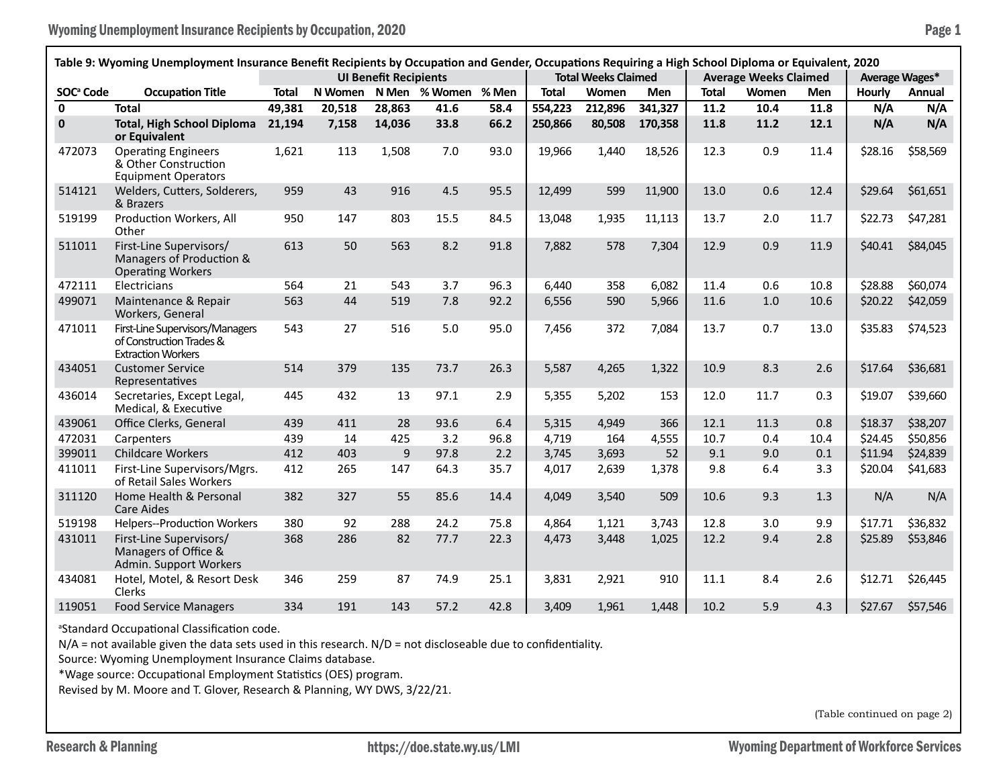|                       | Table 9: Wyoming Unemployment Insurance Benefit Recipients by Occupation and Gender, Occupations Requiring a High School Diploma or Equivalent, 2020 |              |         |                              |               |       |              |                            |         |              |                              |      |                |          |
|-----------------------|------------------------------------------------------------------------------------------------------------------------------------------------------|--------------|---------|------------------------------|---------------|-------|--------------|----------------------------|---------|--------------|------------------------------|------|----------------|----------|
|                       |                                                                                                                                                      |              |         | <b>UI Benefit Recipients</b> |               |       |              | <b>Total Weeks Claimed</b> |         |              | <b>Average Weeks Claimed</b> |      | Average Wages* |          |
| SOC <sup>ª</sup> Code | <b>Occupation Title</b>                                                                                                                              | <b>Total</b> | N Women |                              | N Men % Women | % Men | <b>Total</b> | Women                      | Men     | <b>Total</b> | Women                        | Men  | Hourly         | Annual   |
| $\mathbf{0}$          | <b>Total</b>                                                                                                                                         | 49,381       | 20,518  | 28,863                       | 41.6          | 58.4  | 554,223      | 212,896                    | 341,327 | 11.2         | 10.4                         | 11.8 | N/A            | N/A      |
| $\pmb{0}$             | <b>Total, High School Diploma</b><br>or Equivalent                                                                                                   | 21,194       | 7,158   | 14,036                       | 33.8          | 66.2  | 250,866      | 80,508                     | 170,358 | 11.8         | 11.2                         | 12.1 | N/A            | N/A      |
| 472073                | <b>Operating Engineers</b><br>& Other Construction<br><b>Equipment Operators</b>                                                                     | 1,621        | 113     | 1,508                        | 7.0           | 93.0  | 19,966       | 1,440                      | 18,526  | 12.3         | 0.9                          | 11.4 | \$28.16        | \$58,569 |
| 514121                | Welders, Cutters, Solderers,<br>& Brazers                                                                                                            | 959          | 43      | 916                          | 4.5           | 95.5  | 12,499       | 599                        | 11,900  | 13.0         | 0.6                          | 12.4 | \$29.64        | \$61,651 |
| 519199                | Production Workers, All<br>Other                                                                                                                     | 950          | 147     | 803                          | 15.5          | 84.5  | 13,048       | 1,935                      | 11,113  | 13.7         | 2.0                          | 11.7 | \$22.73        | \$47,281 |
| 511011                | First-Line Supervisors/<br>Managers of Production &<br><b>Operating Workers</b>                                                                      | 613          | 50      | 563                          | 8.2           | 91.8  | 7,882        | 578                        | 7,304   | 12.9         | 0.9                          | 11.9 | \$40.41        | \$84,045 |
| 472111                | Electricians                                                                                                                                         | 564          | 21      | 543                          | 3.7           | 96.3  | 6.440        | 358                        | 6,082   | 11.4         | 0.6                          | 10.8 | \$28.88        | \$60,074 |
| 499071                | Maintenance & Repair<br>Workers, General                                                                                                             | 563          | 44      | 519                          | 7.8           | 92.2  | 6,556        | 590                        | 5,966   | 11.6         | 1.0                          | 10.6 | \$20.22        | \$42,059 |
| 471011                | First-Line Supervisors/Managers<br>of Construction Trades &<br><b>Extraction Workers</b>                                                             | 543          | 27      | 516                          | 5.0           | 95.0  | 7,456        | 372                        | 7,084   | 13.7         | 0.7                          | 13.0 | \$35.83        | \$74,523 |
| 434051                | <b>Customer Service</b><br>Representatives                                                                                                           | 514          | 379     | 135                          | 73.7          | 26.3  | 5,587        | 4,265                      | 1,322   | 10.9         | 8.3                          | 2.6  | \$17.64        | \$36,681 |
| 436014                | Secretaries, Except Legal,<br>Medical, & Executive                                                                                                   | 445          | 432     | 13                           | 97.1          | 2.9   | 5,355        | 5,202                      | 153     | 12.0         | 11.7                         | 0.3  | \$19.07        | \$39,660 |
| 439061                | Office Clerks, General                                                                                                                               | 439          | 411     | 28                           | 93.6          | 6.4   | 5,315        | 4,949                      | 366     | 12.1         | 11.3                         | 0.8  | \$18.37        | \$38,207 |
| 472031                | Carpenters                                                                                                                                           | 439          | 14      | 425                          | 3.2           | 96.8  | 4.719        | 164                        | 4,555   | 10.7         | 0.4                          | 10.4 | \$24.45        | \$50,856 |
| 399011                | <b>Childcare Workers</b>                                                                                                                             | 412          | 403     | 9                            | 97.8          | 2.2   | 3,745        | 3,693                      | 52      | 9.1          | 9.0                          | 0.1  | \$11.94        | \$24,839 |
| 411011                | First-Line Supervisors/Mgrs.<br>of Retail Sales Workers                                                                                              | 412          | 265     | 147                          | 64.3          | 35.7  | 4,017        | 2,639                      | 1,378   | 9.8          | 6.4                          | 3.3  | \$20.04        | \$41,683 |
| 311120                | Home Health & Personal<br><b>Care Aides</b>                                                                                                          | 382          | 327     | 55                           | 85.6          | 14.4  | 4,049        | 3,540                      | 509     | 10.6         | 9.3                          | 1.3  | N/A            | N/A      |
| 519198                | Helpers--Production Workers                                                                                                                          | 380          | 92      | 288                          | 24.2          | 75.8  | 4,864        | 1,121                      | 3,743   | 12.8         | 3.0                          | 9.9  | \$17.71        | \$36,832 |
| 431011                | First-Line Supervisors/<br>Managers of Office &<br>Admin. Support Workers                                                                            | 368          | 286     | 82                           | 77.7          | 22.3  | 4,473        | 3,448                      | 1,025   | 12.2         | 9.4                          | 2.8  | \$25.89        | \$53,846 |
| 434081                | Hotel, Motel, & Resort Desk<br>Clerks                                                                                                                | 346          | 259     | 87                           | 74.9          | 25.1  | 3,831        | 2,921                      | 910     | 11.1         | 8.4                          | 2.6  | \$12.71        | \$26,445 |
| 119051                | <b>Food Service Managers</b>                                                                                                                         | 334          | 191     | 143                          | 57.2          | 42.8  | 3,409        | 1,961                      | 1,448   | 10.2         | 5.9                          | 4.3  | \$27.67        | \$57,546 |

a Standard Occupational Classification code.

N/A = not available given the data sets used in this research. N/D = not discloseable due to confidentiality.

Source: Wyoming Unemployment Insurance Claims database.

\*Wage source: Occupational Employment Statistics (OES) program.

Revised by M. Moore and T. Glover, Research & Planning, WY DWS, 3/22/21.

(Table continued on page 2)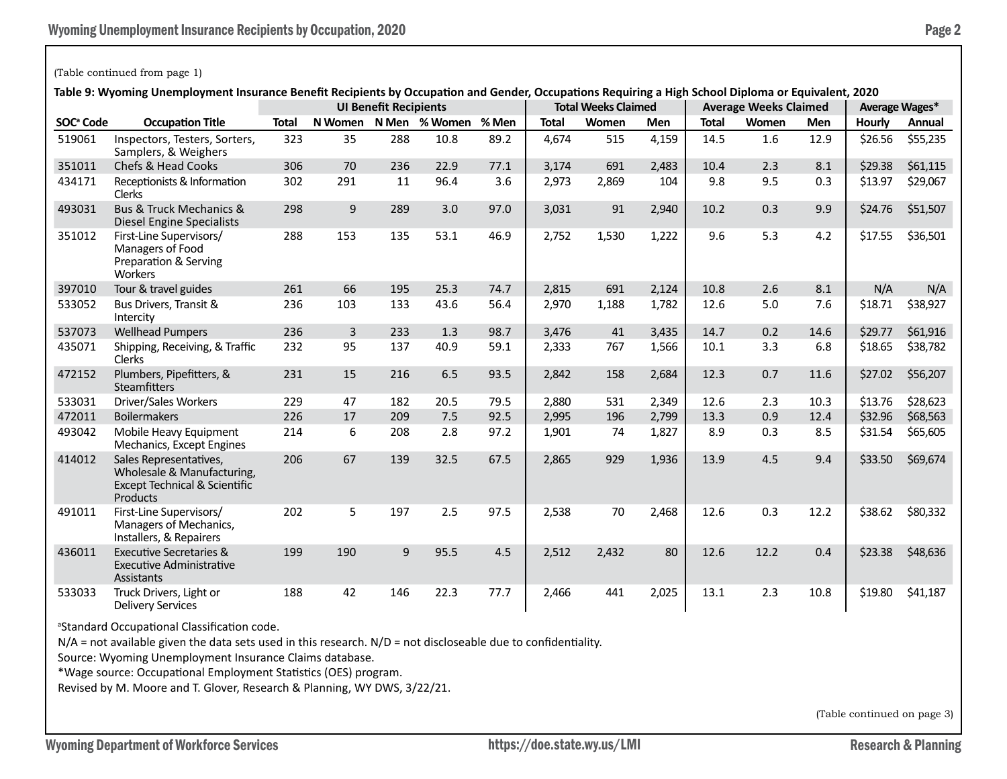## (Table continued from page 1)

**Table 9: Wyoming Unemployment Insurance Benefit Recipients by Occupation and Gender, Occupations Requiring a High School Diploma or Equivalent, 2020**

|                       | iable 5. Wyoming Onemployment insulance benent Recipients by Occupation and Gender, Occupations Requiring a righ School Diploma or Equivalent, 2020 |              |         | <b>UI Benefit Recipients</b> |               |       |              | <b>Total Weeks Claimed</b> |            |              | <b>Average Weeks Claimed</b> |      |         | <b>Average Wages*</b> |
|-----------------------|-----------------------------------------------------------------------------------------------------------------------------------------------------|--------------|---------|------------------------------|---------------|-------|--------------|----------------------------|------------|--------------|------------------------------|------|---------|-----------------------|
| SOC <sup>ª</sup> Code | <b>Occupation Title</b>                                                                                                                             | <b>Total</b> | N Women |                              | N Men % Women | % Men | <b>Total</b> | Women                      | <b>Men</b> | <b>Total</b> | Women                        | Men  | Hourly  | Annual                |
| 519061                | Inspectors, Testers, Sorters,<br>Samplers, & Weighers                                                                                               | 323          | 35      | 288                          | 10.8          | 89.2  | 4,674        | 515                        | 4,159      | 14.5         | 1.6                          | 12.9 | \$26.56 | \$55,235              |
| 351011                | Chefs & Head Cooks                                                                                                                                  | 306          | 70      | 236                          | 22.9          | 77.1  | 3,174        | 691                        | 2.483      | 10.4         | 2.3                          | 8.1  | \$29.38 | \$61,115              |
| 434171                | Receptionists & Information<br><b>Clerks</b>                                                                                                        | 302          | 291     | 11                           | 96.4          | 3.6   | 2,973        | 2,869                      | 104        | 9.8          | 9.5                          | 0.3  | \$13.97 | \$29,067              |
| 493031                | <b>Bus &amp; Truck Mechanics &amp;</b><br>Diesel Engine Specialists                                                                                 | 298          | 9       | 289                          | 3.0           | 97.0  | 3,031        | 91                         | 2,940      | 10.2         | 0.3                          | 9.9  | \$24.76 | \$51,507              |
| 351012                | First-Line Supervisors/<br>Managers of Food<br>Preparation & Serving<br>Workers                                                                     | 288          | 153     | 135                          | 53.1          | 46.9  | 2,752        | 1,530                      | 1,222      | 9.6          | 5.3                          | 4.2  | \$17.55 | \$36,501              |
| 397010                | Tour & travel guides                                                                                                                                | 261          | 66      | 195                          | 25.3          | 74.7  | 2,815        | 691                        | 2,124      | 10.8         | 2.6                          | 8.1  | N/A     | N/A                   |
| 533052                | Bus Drivers, Transit &<br>Intercity                                                                                                                 | 236          | 103     | 133                          | 43.6          | 56.4  | 2,970        | 1,188                      | 1,782      | 12.6         | 5.0                          | 7.6  | \$18.71 | \$38,927              |
| 537073                | <b>Wellhead Pumpers</b>                                                                                                                             | 236          | 3       | 233                          | 1.3           | 98.7  | 3,476        | 41                         | 3,435      | 14.7         | 0.2                          | 14.6 | \$29.77 | \$61,916              |
| 435071                | Shipping, Receiving, & Traffic<br><b>Clerks</b>                                                                                                     | 232          | 95      | 137                          | 40.9          | 59.1  | 2,333        | 767                        | 1,566      | 10.1         | 3.3                          | 6.8  | \$18.65 | \$38,782              |
| 472152                | Plumbers, Pipefitters, &<br><b>Steamfitters</b>                                                                                                     | 231          | 15      | 216                          | 6.5           | 93.5  | 2,842        | 158                        | 2,684      | 12.3         | 0.7                          | 11.6 | \$27.02 | \$56,207              |
| 533031                | Driver/Sales Workers                                                                                                                                | 229          | 47      | 182                          | 20.5          | 79.5  | 2,880        | 531                        | 2,349      | 12.6         | 2.3                          | 10.3 | \$13.76 | \$28,623              |
| 472011                | <b>Boilermakers</b>                                                                                                                                 | 226          | 17      | 209                          | 7.5           | 92.5  | 2,995        | 196                        | 2,799      | 13.3         | 0.9                          | 12.4 | \$32.96 | \$68,563              |
| 493042                | Mobile Heavy Equipment<br>Mechanics, Except Engines                                                                                                 | 214          | 6       | 208                          | 2.8           | 97.2  | 1,901        | 74                         | 1,827      | 8.9          | 0.3                          | 8.5  | \$31.54 | \$65,605              |
| 414012                | Sales Representatives,<br>Wholesale & Manufacturing,<br><b>Except Technical &amp; Scientific</b><br>Products                                        | 206          | 67      | 139                          | 32.5          | 67.5  | 2,865        | 929                        | 1,936      | 13.9         | 4.5                          | 9.4  | \$33.50 | \$69,674              |
| 491011                | First-Line Supervisors/<br>Managers of Mechanics,<br>Installers, & Repairers                                                                        | 202          | 5       | 197                          | 2.5           | 97.5  | 2,538        | 70                         | 2,468      | 12.6         | 0.3                          | 12.2 | \$38.62 | \$80,332              |
| 436011                | <b>Executive Secretaries &amp;</b><br><b>Executive Administrative</b><br>Assistants                                                                 | 199          | 190     | 9                            | 95.5          | 4.5   | 2,512        | 2,432                      | 80         | 12.6         | 12.2                         | 0.4  | \$23.38 | \$48,636              |
| 533033                | Truck Drivers, Light or<br><b>Delivery Services</b>                                                                                                 | 188          | 42      | 146                          | 22.3          | 77.7  | 2,466        | 441                        | 2,025      | 13.1         | 2.3                          | 10.8 | \$19.80 | \$41,187              |

a Standard Occupational Classification code.

N/A = not available given the data sets used in this research. N/D = not discloseable due to confidentiality.

Source: Wyoming Unemployment Insurance Claims database.

\*Wage source: Occupational Employment Statistics (OES) program.

Revised by M. Moore and T. Glover, Research & Planning, WY DWS, 3/22/21.

(Table continued on page 3)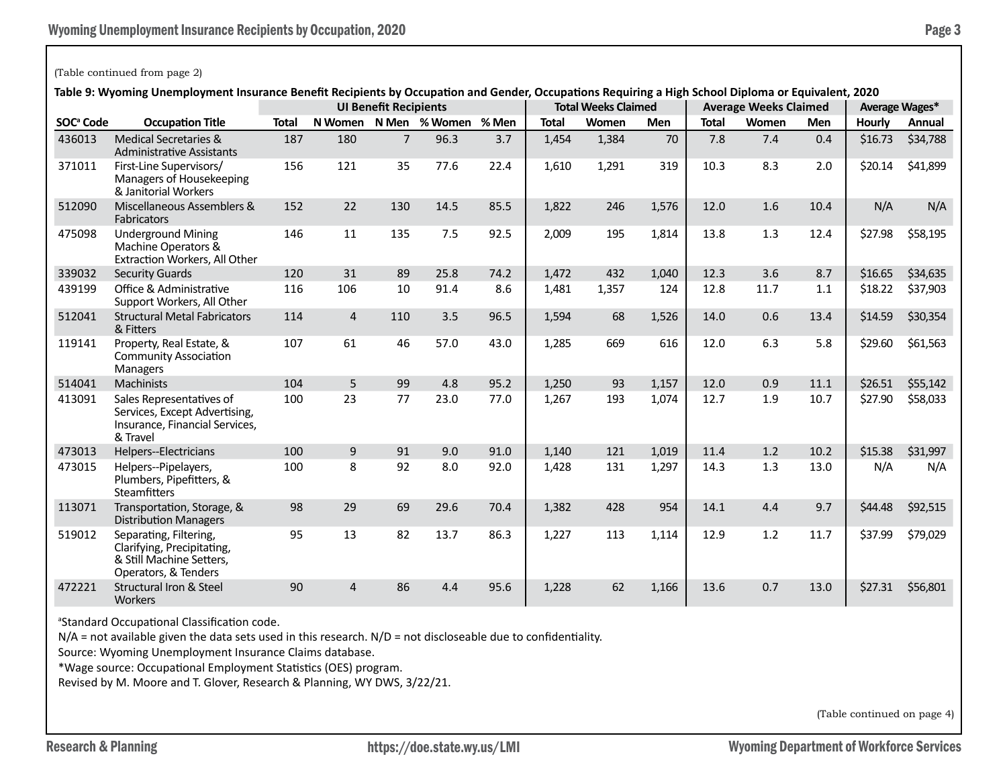### (Table continued from page 2)

**Table 9: Wyoming Unemployment Insurance Benefit Recipients by Occupation and Gender, Occupations Requiring a High School Diploma or Equivalent, 2020**

|                       | rable 5. Wyoming Onemployment msurance benent Recipients by Occupation and Genuer, Occupations Requiring a righ School Diploma or Equivalent, 2020 |              |                |                              |                     |      |              | <b>Total Weeks Claimed</b> |            |              |                              |      |                |          |
|-----------------------|----------------------------------------------------------------------------------------------------------------------------------------------------|--------------|----------------|------------------------------|---------------------|------|--------------|----------------------------|------------|--------------|------------------------------|------|----------------|----------|
|                       |                                                                                                                                                    |              |                | <b>UI Benefit Recipients</b> |                     |      |              |                            |            |              | <b>Average Weeks Claimed</b> |      | Average Wages* |          |
| SOC <sup>ª</sup> Code | <b>Occupation Title</b>                                                                                                                            | <b>Total</b> | N Women        |                              | N Men % Women % Men |      | <b>Total</b> | Women                      | <b>Men</b> | <b>Total</b> | Women                        | Men  | Hourly         | Annual   |
| 436013                | Medical Secretaries &<br><b>Administrative Assistants</b>                                                                                          | 187          | 180            | $\overline{7}$               | 96.3                | 3.7  | 1,454        | 1,384                      | 70         | 7.8          | 7.4                          | 0.4  | \$16.73        | \$34,788 |
| 371011                | First-Line Supervisors/<br>Managers of Housekeeping<br>& Janitorial Workers                                                                        | 156          | 121            | 35                           | 77.6                | 22.4 | 1,610        | 1,291                      | 319        | 10.3         | 8.3                          | 2.0  | \$20.14        | \$41,899 |
| 512090                | Miscellaneous Assemblers &<br><b>Fabricators</b>                                                                                                   | 152          | 22             | 130                          | 14.5                | 85.5 | 1,822        | 246                        | 1,576      | 12.0         | 1.6                          | 10.4 | N/A            | N/A      |
| 475098                | <b>Underground Mining</b><br>Machine Operators &<br>Extraction Workers, All Other                                                                  | 146          | 11             | 135                          | 7.5                 | 92.5 | 2,009        | 195                        | 1,814      | 13.8         | 1.3                          | 12.4 | \$27.98        | \$58,195 |
| 339032                | <b>Security Guards</b>                                                                                                                             | 120          | 31             | 89                           | 25.8                | 74.2 | 1,472        | 432                        | 1.040      | 12.3         | 3.6                          | 8.7  | \$16.65        | \$34,635 |
| 439199                | Office & Administrative<br>Support Workers, All Other                                                                                              | 116          | 106            | 10                           | 91.4                | 8.6  | 1,481        | 1,357                      | 124        | 12.8         | 11.7                         | 1.1  | \$18.22        | \$37,903 |
| 512041                | <b>Structural Metal Fabricators</b><br>& Fitters                                                                                                   | 114          | $\overline{4}$ | 110                          | 3.5                 | 96.5 | 1,594        | 68                         | 1,526      | 14.0         | 0.6                          | 13.4 | \$14.59        | \$30,354 |
| 119141                | Property, Real Estate, &<br><b>Community Association</b><br>Managers                                                                               | 107          | 61             | 46                           | 57.0                | 43.0 | 1,285        | 669                        | 616        | 12.0         | 6.3                          | 5.8  | \$29.60        | \$61,563 |
| 514041                | <b>Machinists</b>                                                                                                                                  | 104          | 5              | 99                           | 4.8                 | 95.2 | 1,250        | 93                         | 1,157      | 12.0         | 0.9                          | 11.1 | \$26.51        | \$55,142 |
| 413091                | Sales Representatives of<br>Services, Except Advertising,<br>Insurance, Financial Services,<br>& Travel                                            | 100          | 23             | 77                           | 23.0                | 77.0 | 1,267        | 193                        | 1,074      | 12.7         | 1.9                          | 10.7 | \$27.90        | \$58,033 |
| 473013                | Helpers--Electricians                                                                                                                              | 100          | 9              | 91                           | 9.0                 | 91.0 | 1.140        | 121                        | 1,019      | 11.4         | 1.2                          | 10.2 | \$15.38        | \$31,997 |
| 473015                | Helpers--Pipelayers,<br>Plumbers, Pipefitters, &<br><b>Steamfitters</b>                                                                            | 100          | 8              | 92                           | 8.0                 | 92.0 | 1,428        | 131                        | 1,297      | 14.3         | 1.3                          | 13.0 | N/A            | N/A      |
| 113071                | Transportation, Storage, &<br><b>Distribution Managers</b>                                                                                         | 98           | 29             | 69                           | 29.6                | 70.4 | 1,382        | 428                        | 954        | 14.1         | 4.4                          | 9.7  | \$44.48        | \$92,515 |
| 519012                | Separating, Filtering,<br>Clarifying, Precipitating,<br>& Still Machine Setters,<br>Operators, & Tenders                                           | 95           | 13             | 82                           | 13.7                | 86.3 | 1,227        | 113                        | 1,114      | 12.9         | 1.2                          | 11.7 | \$37.99        | \$79,029 |
| 472221                | <b>Structural Iron &amp; Steel</b><br><b>Workers</b>                                                                                               | 90           | 4              | 86                           | 4.4                 | 95.6 | 1,228        | 62                         | 1,166      | 13.6         | 0.7                          | 13.0 | \$27.31        | \$56,801 |

a Standard Occupational Classification code.

N/A = not available given the data sets used in this research. N/D = not discloseable due to confidentiality.

Source: Wyoming Unemployment Insurance Claims database.

\*Wage source: Occupational Employment Statistics (OES) program.

Revised by M. Moore and T. Glover, Research & Planning, WY DWS, 3/22/21.

(Table continued on page 4)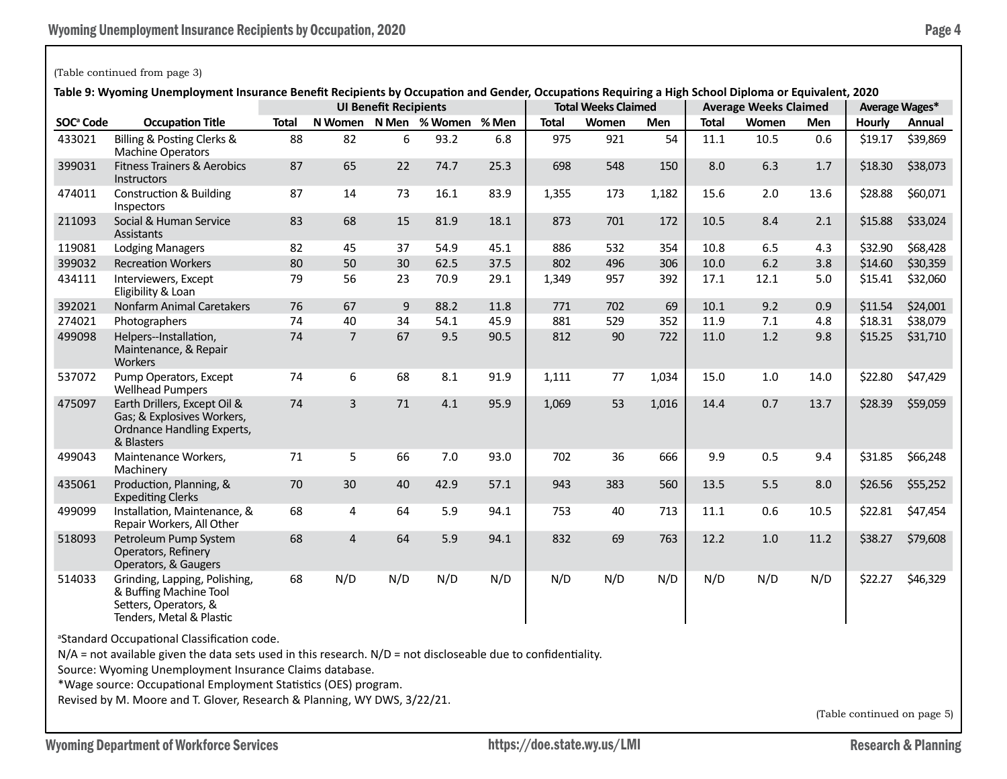## (Table continued from page 3)

**Table 9: Wyoming Unemployment Insurance Benefit Recipients by Occupation and Gender, Occupations Requiring a High School Diploma or Equivalent, 2020**

|                       | rable 9: wyoming Unemployment insurance benefit Recipients by Occupation and Gender, Occupations Requiring a High School Diploma or Equivalent, 2020 |              |                | <b>UI Benefit Recipients</b> |                     |      |              | <b>Total Weeks Claimed</b> |            |              | <b>Average Weeks Claimed</b> |      |         | Average Wages* |
|-----------------------|------------------------------------------------------------------------------------------------------------------------------------------------------|--------------|----------------|------------------------------|---------------------|------|--------------|----------------------------|------------|--------------|------------------------------|------|---------|----------------|
| SOC <sup>ª</sup> Code | <b>Occupation Title</b>                                                                                                                              | <b>Total</b> | N Women        |                              | N Men % Women % Men |      | <b>Total</b> | Women                      | <b>Men</b> | <b>Total</b> | Women                        | Men  | Hourly  | Annual         |
| 433021                | Billing & Posting Clerks &<br><b>Machine Operators</b>                                                                                               | 88           | 82             | 6                            | 93.2                | 6.8  | 975          | 921                        | 54         | 11.1         | 10.5                         | 0.6  | \$19.17 | \$39,869       |
| 399031                | <b>Fitness Trainers &amp; Aerobics</b><br><b>Instructors</b>                                                                                         | 87           | 65             | 22                           | 74.7                | 25.3 | 698          | 548                        | 150        | 8.0          | 6.3                          | 1.7  | \$18.30 | \$38,073       |
| 474011                | <b>Construction &amp; Building</b><br>Inspectors                                                                                                     | 87           | 14             | 73                           | 16.1                | 83.9 | 1,355        | 173                        | 1,182      | 15.6         | 2.0                          | 13.6 | \$28.88 | \$60,071       |
| 211093                | Social & Human Service<br>Assistants                                                                                                                 | 83           | 68             | 15                           | 81.9                | 18.1 | 873          | 701                        | 172        | 10.5         | 8.4                          | 2.1  | \$15.88 | \$33,024       |
| 119081                | <b>Lodging Managers</b>                                                                                                                              | 82           | 45             | 37                           | 54.9                | 45.1 | 886          | 532                        | 354        | 10.8         | 6.5                          | 4.3  | \$32.90 | \$68,428       |
| 399032                | <b>Recreation Workers</b>                                                                                                                            | 80           | 50             | 30                           | 62.5                | 37.5 | 802          | 496                        | 306        | 10.0         | 6.2                          | 3.8  | \$14.60 | \$30,359       |
| 434111                | Interviewers, Except<br>Eligibility & Loan                                                                                                           | 79           | 56             | 23                           | 70.9                | 29.1 | 1,349        | 957                        | 392        | 17.1         | 12.1                         | 5.0  | \$15.41 | \$32,060       |
| 392021                | <b>Nonfarm Animal Caretakers</b>                                                                                                                     | 76           | 67             | 9                            | 88.2                | 11.8 | 771          | 702                        | 69         | 10.1         | 9.2                          | 0.9  | \$11.54 | \$24,001       |
| 274021                | Photographers                                                                                                                                        | 74           | 40             | 34                           | 54.1                | 45.9 | 881          | 529                        | 352        | 11.9         | 7.1                          | 4.8  | \$18.31 | \$38,079       |
| 499098                | Helpers--Installation,<br>Maintenance, & Repair<br><b>Workers</b>                                                                                    | 74           | $\overline{7}$ | 67                           | 9.5                 | 90.5 | 812          | 90                         | 722        | 11.0         | 1.2                          | 9.8  | \$15.25 | \$31,710       |
| 537072                | Pump Operators, Except<br><b>Wellhead Pumpers</b>                                                                                                    | 74           | 6              | 68                           | 8.1                 | 91.9 | 1,111        | 77                         | 1,034      | 15.0         | 1.0                          | 14.0 | \$22.80 | \$47,429       |
| 475097                | Earth Drillers, Except Oil &<br>Gas; & Explosives Workers,<br>Ordnance Handling Experts,<br>& Blasters                                               | 74           | 3              | 71                           | 4.1                 | 95.9 | 1,069        | 53                         | 1,016      | 14.4         | 0.7                          | 13.7 | \$28.39 | \$59,059       |
| 499043                | Maintenance Workers,<br>Machinery                                                                                                                    | 71           | 5              | 66                           | 7.0                 | 93.0 | 702          | 36                         | 666        | 9.9          | 0.5                          | 9.4  | \$31.85 | \$66,248       |
| 435061                | Production, Planning, &<br><b>Expediting Clerks</b>                                                                                                  | 70           | 30             | 40                           | 42.9                | 57.1 | 943          | 383                        | 560        | 13.5         | 5.5                          | 8.0  | \$26.56 | \$55,252       |
| 499099                | Installation, Maintenance, &<br>Repair Workers, All Other                                                                                            | 68           | 4              | 64                           | 5.9                 | 94.1 | 753          | 40                         | 713        | 11.1         | 0.6                          | 10.5 | \$22.81 | \$47,454       |
| 518093                | Petroleum Pump System<br>Operators, Refinery<br>Operators, & Gaugers                                                                                 | 68           | $\overline{4}$ | 64                           | 5.9                 | 94.1 | 832          | 69                         | 763        | 12.2         | 1.0                          | 11.2 | \$38.27 | \$79,608       |
| 514033                | Grinding, Lapping, Polishing,<br>& Buffing Machine Tool<br>Setters, Operators, &<br>Tenders, Metal & Plastic                                         | 68           | N/D            | N/D                          | N/D                 | N/D  | N/D          | N/D                        | N/D        | N/D          | N/D                          | N/D  | \$22.27 | \$46,329       |

a Standard Occupational Classification code.

N/A = not available given the data sets used in this research. N/D = not discloseable due to confidentiality.

Source: Wyoming Unemployment Insurance Claims database.

\*Wage source: Occupational Employment Statistics (OES) program.

Revised by M. Moore and T. Glover, Research & Planning, WY DWS, 3/22/21.

(Table continued on page 5)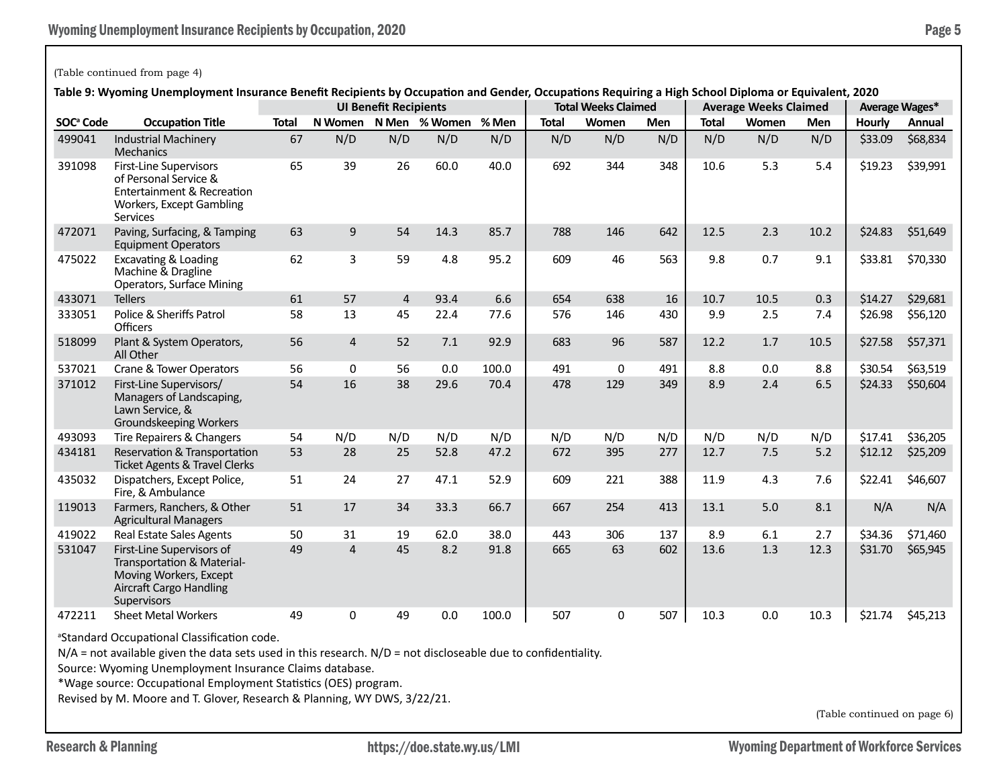#### (Table continued from page 4)

**Table 9: Wyoming Unemployment Insurance Benefit Recipients by Occupation and Gender, Occupations Requiring a High School Diploma or Equivalent, 2020**

|                       | iable 5. Wyoming Onemployment insulance benent Reuplents by Occupation and Genuel, Occupations Requiring a righ School Diploma or Equivalent, 2020 |              |                | <b>UI Benefit Recipients</b> |               |       |              | <b>Total Weeks Claimed</b> |            |              | <b>Average Weeks Claimed</b> |      |         | <b>Average Wages*</b> |
|-----------------------|----------------------------------------------------------------------------------------------------------------------------------------------------|--------------|----------------|------------------------------|---------------|-------|--------------|----------------------------|------------|--------------|------------------------------|------|---------|-----------------------|
| SOC <sup>ª</sup> Code | <b>Occupation Title</b>                                                                                                                            | <b>Total</b> | N Women        |                              | N Men % Women | % Men | <b>Total</b> | Women                      | <b>Men</b> | <b>Total</b> | Women                        | Men  | Hourly  | Annual                |
| 499041                | <b>Industrial Machinery</b><br><b>Mechanics</b>                                                                                                    | 67           | N/D            | N/D                          | N/D           | N/D   | N/D          | N/D                        | N/D        | N/D          | N/D                          | N/D  | \$33.09 | \$68,834              |
| 391098                | <b>First-Line Supervisors</b><br>of Personal Service &<br><b>Entertainment &amp; Recreation</b><br>Workers, Except Gambling<br><b>Services</b>     | 65           | 39             | 26                           | 60.0          | 40.0  | 692          | 344                        | 348        | 10.6         | 5.3                          | 5.4  | \$19.23 | \$39,991              |
| 472071                | Paving, Surfacing, & Tamping<br><b>Equipment Operators</b>                                                                                         | 63           | 9              | 54                           | 14.3          | 85.7  | 788          | 146                        | 642        | 12.5         | 2.3                          | 10.2 | \$24.83 | \$51,649              |
| 475022                | <b>Excavating &amp; Loading</b><br>Machine & Dragline<br><b>Operators, Surface Mining</b>                                                          | 62           | 3              | 59                           | 4.8           | 95.2  | 609          | 46                         | 563        | 9.8          | 0.7                          | 9.1  | \$33.81 | \$70,330              |
| 433071                | <b>Tellers</b>                                                                                                                                     | 61           | 57             | $\overline{4}$               | 93.4          | 6.6   | 654          | 638                        | 16         | 10.7         | 10.5                         | 0.3  | \$14.27 | \$29,681              |
| 333051                | Police & Sheriffs Patrol<br><b>Officers</b>                                                                                                        | 58           | 13             | 45                           | 22.4          | 77.6  | 576          | 146                        | 430        | 9.9          | 2.5                          | 7.4  | \$26.98 | \$56,120              |
| 518099                | Plant & System Operators,<br>All Other                                                                                                             | 56           | $\overline{4}$ | 52                           | 7.1           | 92.9  | 683          | 96                         | 587        | 12.2         | 1.7                          | 10.5 | \$27.58 | \$57,371              |
| 537021                | Crane & Tower Operators                                                                                                                            | 56           | 0              | 56                           | 0.0           | 100.0 | 491          | 0                          | 491        | 8.8          | 0.0                          | 8.8  | \$30.54 | \$63,519              |
| 371012                | First-Line Supervisors/<br>Managers of Landscaping,<br>Lawn Service, &<br>Groundskeeping Workers                                                   | 54           | 16             | 38                           | 29.6          | 70.4  | 478          | 129                        | 349        | 8.9          | 2.4                          | 6.5  | \$24.33 | \$50,604              |
| 493093                | Tire Repairers & Changers                                                                                                                          | 54           | N/D            | N/D                          | N/D           | N/D   | N/D          | N/D                        | N/D        | N/D          | N/D                          | N/D  | \$17.41 | \$36,205              |
| 434181                | Reservation & Transportation<br><b>Ticket Agents &amp; Travel Clerks</b>                                                                           | 53           | 28             | 25                           | 52.8          | 47.2  | 672          | 395                        | 277        | 12.7         | 7.5                          | 5.2  | \$12.12 | \$25,209              |
| 435032                | Dispatchers, Except Police,<br>Fire, & Ambulance                                                                                                   | 51           | 24             | 27                           | 47.1          | 52.9  | 609          | 221                        | 388        | 11.9         | 4.3                          | 7.6  | \$22.41 | \$46,607              |
| 119013                | Farmers, Ranchers, & Other<br><b>Agricultural Managers</b>                                                                                         | 51           | 17             | 34                           | 33.3          | 66.7  | 667          | 254                        | 413        | 13.1         | 5.0                          | 8.1  | N/A     | N/A                   |
| 419022                | <b>Real Estate Sales Agents</b>                                                                                                                    | 50           | 31             | 19                           | 62.0          | 38.0  | 443          | 306                        | 137        | 8.9          | 6.1                          | 2.7  | \$34.36 | \$71,460              |
| 531047                | First-Line Supervisors of<br>Transportation & Material-<br>Moving Workers, Except<br><b>Aircraft Cargo Handling</b><br><b>Supervisors</b>          | 49           | $\overline{4}$ | 45                           | 8.2           | 91.8  | 665          | 63                         | 602        | 13.6         | 1.3                          | 12.3 | \$31.70 | \$65,945              |
| 472211                | <b>Sheet Metal Workers</b>                                                                                                                         | 49           | 0              | 49                           | 0.0           | 100.0 | 507          | 0                          | 507        | 10.3         | 0.0                          | 10.3 | \$21.74 | \$45,213              |

<sup>a</sup>Standard Occupational Classification code.

N/A = not available given the data sets used in this research. N/D = not discloseable due to confidentiality.

Source: Wyoming Unemployment Insurance Claims database.

\*Wage source: Occupational Employment Statistics (OES) program.

Revised by M. Moore and T. Glover, Research & Planning, WY DWS, 3/22/21.

(Table continued on page 6)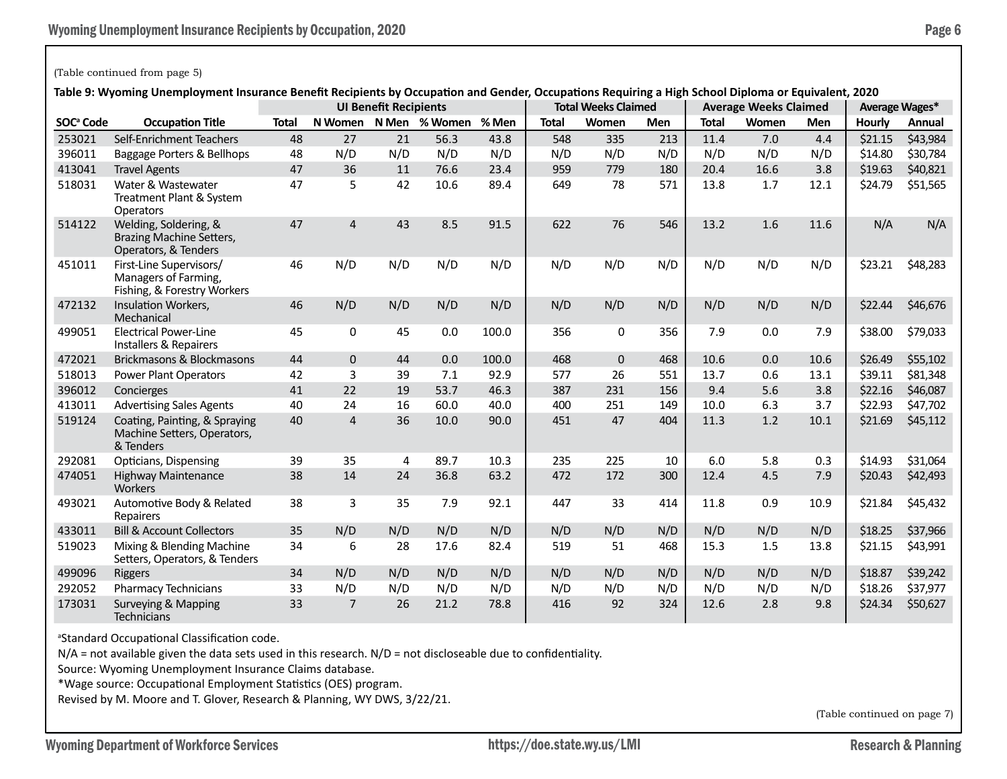#### (Table continued from page 5)

**Table 9: Wyoming Unemployment Insurance Benefit Recipients by Occupation and Gender, Occupations Requiring a High School Diploma or Equivalent, 2020**

|                       | iable 3. Wyomnig Unemployment insulance benent Recipients by Occupation and Genuel, Occupations Requiring a mgh School Diploma or Equivalent, 2020 |              |                | <b>UI Benefit Recipients</b> |                     |       |              | <b>Total Weeks Claimed</b> |            |              | <b>Average Weeks Claimed</b> |      |         | Average Wages* |
|-----------------------|----------------------------------------------------------------------------------------------------------------------------------------------------|--------------|----------------|------------------------------|---------------------|-------|--------------|----------------------------|------------|--------------|------------------------------|------|---------|----------------|
| SOC <sup>ª</sup> Code | <b>Occupation Title</b>                                                                                                                            | <b>Total</b> | N Women        |                              | N Men % Women % Men |       | <b>Total</b> | Women                      | <b>Men</b> | <b>Total</b> | Women                        | Men  | Hourly  | Annual         |
| 253021                | Self-Enrichment Teachers                                                                                                                           | 48           | 27             | 21                           | 56.3                | 43.8  | 548          | 335                        | 213        | 11.4         | 7.0                          | 4.4  | \$21.15 | \$43,984       |
| 396011                | Baggage Porters & Bellhops                                                                                                                         | 48           | N/D            | N/D                          | N/D                 | N/D   | N/D          | N/D                        | N/D        | N/D          | N/D                          | N/D  | \$14.80 | \$30,784       |
| 413041                | <b>Travel Agents</b>                                                                                                                               | 47           | 36             | 11                           | 76.6                | 23.4  | 959          | 779                        | 180        | 20.4         | 16.6                         | 3.8  | \$19.63 | \$40,821       |
| 518031                | Water & Wastewater<br>Treatment Plant & System<br>Operators                                                                                        | 47           | 5              | 42                           | 10.6                | 89.4  | 649          | 78                         | 571        | 13.8         | 1.7                          | 12.1 | \$24.79 | \$51,565       |
| 514122                | Welding, Soldering, &<br><b>Brazing Machine Setters,</b><br>Operators, & Tenders                                                                   | 47           | $\overline{4}$ | 43                           | 8.5                 | 91.5  | 622          | 76                         | 546        | 13.2         | 1.6                          | 11.6 | N/A     | N/A            |
| 451011                | First-Line Supervisors/<br>Managers of Farming,<br>Fishing, & Forestry Workers                                                                     | 46           | N/D            | N/D                          | N/D                 | N/D   | N/D          | N/D                        | N/D        | N/D          | N/D                          | N/D  | \$23.21 | \$48,283       |
| 472132                | Insulation Workers,<br>Mechanical                                                                                                                  | 46           | N/D            | N/D                          | N/D                 | N/D   | N/D          | N/D                        | N/D        | N/D          | N/D                          | N/D  | \$22.44 | \$46,676       |
| 499051                | <b>Electrical Power-Line</b><br>Installers & Repairers                                                                                             | 45           | 0              | 45                           | 0.0                 | 100.0 | 356          | $\mathbf 0$                | 356        | 7.9          | 0.0                          | 7.9  | \$38.00 | \$79,033       |
| 472021                | Brickmasons & Blockmasons                                                                                                                          | 44           | $\Omega$       | 44                           | 0.0                 | 100.0 | 468          | $\mathbf 0$                | 468        | 10.6         | 0.0                          | 10.6 | \$26.49 | \$55,102       |
| 518013                | Power Plant Operators                                                                                                                              | 42           | 3              | 39                           | 7.1                 | 92.9  | 577          | 26                         | 551        | 13.7         | 0.6                          | 13.1 | \$39.11 | \$81,348       |
| 396012                | Concierges                                                                                                                                         | 41           | 22             | 19                           | 53.7                | 46.3  | 387          | 231                        | 156        | 9.4          | 5.6                          | 3.8  | \$22.16 | \$46,087       |
| 413011                | <b>Advertising Sales Agents</b>                                                                                                                    | 40           | 24             | 16                           | 60.0                | 40.0  | 400          | 251                        | 149        | 10.0         | 6.3                          | 3.7  | \$22.93 | \$47,702       |
| 519124                | Coating, Painting, & Spraying<br>Machine Setters, Operators,<br>& Tenders                                                                          | 40           | $\overline{4}$ | 36                           | 10.0                | 90.0  | 451          | 47                         | 404        | 11.3         | 1.2                          | 10.1 | \$21.69 | \$45,112       |
| 292081                | Opticians, Dispensing                                                                                                                              | 39           | 35             | $\overline{4}$               | 89.7                | 10.3  | 235          | 225                        | 10         | 6.0          | 5.8                          | 0.3  | \$14.93 | \$31,064       |
| 474051                | <b>Highway Maintenance</b><br><b>Workers</b>                                                                                                       | 38           | 14             | 24                           | 36.8                | 63.2  | 472          | 172                        | 300        | 12.4         | 4.5                          | 7.9  | \$20.43 | \$42,493       |
| 493021                | Automotive Body & Related<br>Repairers                                                                                                             | 38           | 3              | 35                           | 7.9                 | 92.1  | 447          | 33                         | 414        | 11.8         | 0.9                          | 10.9 | \$21.84 | \$45,432       |
| 433011                | <b>Bill &amp; Account Collectors</b>                                                                                                               | 35           | N/D            | N/D                          | N/D                 | N/D   | N/D          | N/D                        | N/D        | N/D          | N/D                          | N/D  | \$18.25 | \$37,966       |
| 519023                | Mixing & Blending Machine<br>Setters, Operators, & Tenders                                                                                         | 34           | 6              | 28                           | 17.6                | 82.4  | 519          | 51                         | 468        | 15.3         | 1.5                          | 13.8 | \$21.15 | \$43,991       |
| 499096                | Riggers                                                                                                                                            | 34           | N/D            | N/D                          | N/D                 | N/D   | N/D          | N/D                        | N/D        | N/D          | N/D                          | N/D  | \$18.87 | \$39,242       |
| 292052                | <b>Pharmacy Technicians</b>                                                                                                                        | 33           | N/D            | N/D                          | N/D                 | N/D   | N/D          | N/D                        | N/D        | N/D          | N/D                          | N/D  | \$18.26 | \$37,977       |
| 173031                | Surveying & Mapping<br>Technicians                                                                                                                 | 33           | $\overline{7}$ | 26                           | 21.2                | 78.8  | 416          | 92                         | 324        | 12.6         | 2.8                          | 9.8  | \$24.34 | \$50,627       |

a Standard Occupational Classification code.

N/A = not available given the data sets used in this research. N/D = not discloseable due to confidentiality.

Source: Wyoming Unemployment Insurance Claims database.

\*Wage source: Occupational Employment Statistics (OES) program.

Revised by M. Moore and T. Glover, Research & Planning, WY DWS, 3/22/21.

(Table continued on page 7)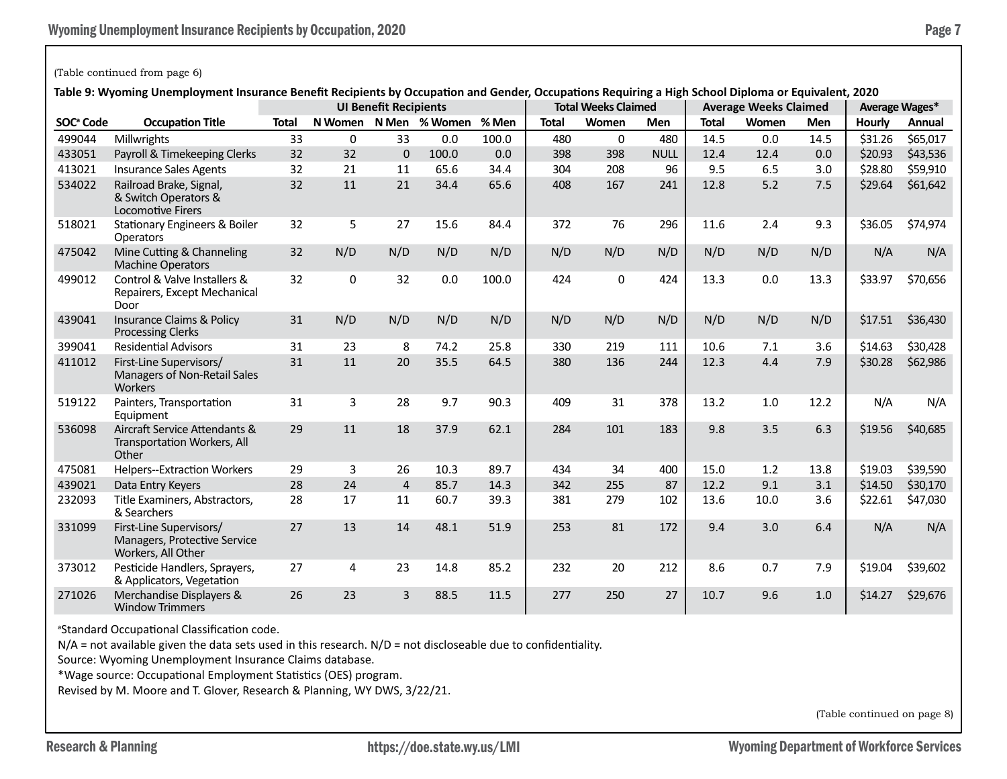#### (Table continued from page 6)

**Table 9: Wyoming Unemployment Insurance Benefit Recipients by Occupation and Gender, Occupations Requiring a High School Diploma or Equivalent, 2020**

|                       | <u>of formula one inprovincial insurance benena accipients by occupation and ocnaci, occupations acquiring a rugh</u> |              |     | <b>UI Benefit Recipients</b> |                       |       |              | <b>Total Weeks Claimed</b> |             |              | <b>Average Weeks Claimed</b> |      |         | Average Wages* |
|-----------------------|-----------------------------------------------------------------------------------------------------------------------|--------------|-----|------------------------------|-----------------------|-------|--------------|----------------------------|-------------|--------------|------------------------------|------|---------|----------------|
| SOC <sup>ª</sup> Code | <b>Occupation Title</b>                                                                                               | <b>Total</b> |     |                              | N Women N Men % Women | % Men | <b>Total</b> | Women                      | <b>Men</b>  | <b>Total</b> | Women                        | Men  | Hourly  | Annual         |
| 499044                | Millwrights                                                                                                           | 33           | 0   | 33                           | 0.0                   | 100.0 | 480          | $\mathbf 0$                | 480         | 14.5         | 0.0                          | 14.5 | \$31.26 | \$65,017       |
| 433051                | Payroll & Timekeeping Clerks                                                                                          | 32           | 32  | $\mathbf 0$                  | 100.0                 | 0.0   | 398          | 398                        | <b>NULL</b> | 12.4         | 12.4                         | 0.0  | \$20.93 | \$43,536       |
| 413021                | <b>Insurance Sales Agents</b>                                                                                         | 32           | 21  | 11                           | 65.6                  | 34.4  | 304          | 208                        | 96          | 9.5          | 6.5                          | 3.0  | \$28.80 | \$59,910       |
| 534022                | Railroad Brake, Signal,<br>& Switch Operators &<br><b>Locomotive Firers</b>                                           | 32           | 11  | 21                           | 34.4                  | 65.6  | 408          | 167                        | 241         | 12.8         | 5.2                          | 7.5  | \$29.64 | \$61,642       |
| 518021                | <b>Stationary Engineers &amp; Boiler</b><br><b>Operators</b>                                                          | 32           | 5   | 27                           | 15.6                  | 84.4  | 372          | 76                         | 296         | 11.6         | 2.4                          | 9.3  | \$36.05 | \$74,974       |
| 475042                | Mine Cutting & Channeling<br><b>Machine Operators</b>                                                                 | 32           | N/D | N/D                          | N/D                   | N/D   | N/D          | N/D                        | N/D         | N/D          | N/D                          | N/D  | N/A     | N/A            |
| 499012                | Control & Valve Installers &<br>Repairers, Except Mechanical<br>Door                                                  | 32           | 0   | 32                           | 0.0                   | 100.0 | 424          | $\mathbf 0$                | 424         | 13.3         | 0.0                          | 13.3 | \$33.97 | \$70,656       |
| 439041                | <b>Insurance Claims &amp; Policy</b><br><b>Processing Clerks</b>                                                      | 31           | N/D | N/D                          | N/D                   | N/D   | N/D          | N/D                        | N/D         | N/D          | N/D                          | N/D  | \$17.51 | \$36,430       |
| 399041                | <b>Residential Advisors</b>                                                                                           | 31           | 23  | 8                            | 74.2                  | 25.8  | 330          | 219                        | 111         | 10.6         | 7.1                          | 3.6  | \$14.63 | \$30,428       |
| 411012                | First-Line Supervisors/<br>Managers of Non-Retail Sales<br><b>Workers</b>                                             | 31           | 11  | 20                           | 35.5                  | 64.5  | 380          | 136                        | 244         | 12.3         | 4.4                          | 7.9  | \$30.28 | \$62,986       |
| 519122                | Painters, Transportation<br>Equipment                                                                                 | 31           | 3   | 28                           | 9.7                   | 90.3  | 409          | 31                         | 378         | 13.2         | 1.0                          | 12.2 | N/A     | N/A            |
| 536098                | Aircraft Service Attendants &<br>Transportation Workers, All<br>Other                                                 | 29           | 11  | 18                           | 37.9                  | 62.1  | 284          | 101                        | 183         | 9.8          | 3.5                          | 6.3  | \$19.56 | \$40,685       |
| 475081                | <b>Helpers--Extraction Workers</b>                                                                                    | 29           | 3   | 26                           | 10.3                  | 89.7  | 434          | 34                         | 400         | 15.0         | 1.2                          | 13.8 | \$19.03 | \$39,590       |
| 439021                | Data Entry Keyers                                                                                                     | 28           | 24  | $\overline{a}$               | 85.7                  | 14.3  | 342          | 255                        | 87          | 12.2         | 9.1                          | 3.1  | \$14.50 | \$30,170       |
| 232093                | Title Examiners, Abstractors,<br>& Searchers                                                                          | 28           | 17  | 11                           | 60.7                  | 39.3  | 381          | 279                        | 102         | 13.6         | 10.0                         | 3.6  | \$22.61 | \$47,030       |
| 331099                | First-Line Supervisors/<br>Managers, Protective Service<br>Workers, All Other                                         | 27           | 13  | 14                           | 48.1                  | 51.9  | 253          | 81                         | 172         | 9.4          | 3.0                          | 6.4  | N/A     | N/A            |
| 373012                | Pesticide Handlers, Sprayers,<br>& Applicators, Vegetation                                                            | 27           | 4   | 23                           | 14.8                  | 85.2  | 232          | 20                         | 212         | 8.6          | 0.7                          | 7.9  | \$19.04 | \$39,602       |
| 271026                | Merchandise Displayers &<br><b>Window Trimmers</b>                                                                    | 26           | 23  | 3                            | 88.5                  | 11.5  | 277          | 250                        | 27          | 10.7         | 9.6                          | 1.0  | \$14.27 | \$29,676       |

a Standard Occupational Classification code.

 $N/A$  = not available given the data sets used in this research.  $N/D$  = not discloseable due to confidentiality.

Source: Wyoming Unemployment Insurance Claims database.

\*Wage source: Occupational Employment Statistics (OES) program.

Revised by M. Moore and T. Glover, Research & Planning, WY DWS, 3/22/21.

(Table continued on page 8)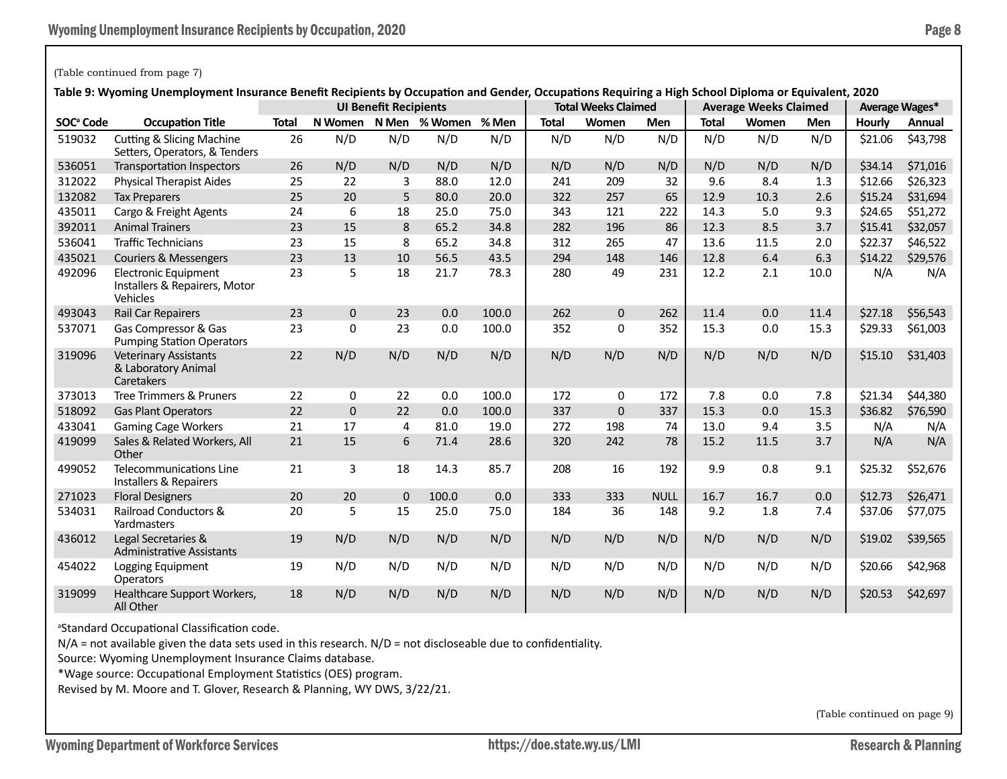### (Table continued from page 7)

**Table 9: Wyoming Unemployment Insurance Benefit Recipients by Occupation and Gender, Occupations Requiring a High School Diploma or Equivalent, 2020**

|                       | onemployment modiume benefit neuplems by occupation and ochaely occupations helpaning a might |              |              | <b>UI Benefit Recipients</b> |               |       |              | <b>Total Weeks Claimed</b> |             |              | <b>Average Weeks Claimed</b> |            |               | Average Wages* |
|-----------------------|-----------------------------------------------------------------------------------------------|--------------|--------------|------------------------------|---------------|-------|--------------|----------------------------|-------------|--------------|------------------------------|------------|---------------|----------------|
| SOC <sup>ª</sup> Code | <b>Occupation Title</b>                                                                       | <b>Total</b> | N Women      |                              | N Men % Women | % Men | <b>Total</b> | Women                      | <b>Men</b>  | <b>Total</b> | Women                        | <b>Men</b> | <b>Hourly</b> | Annual         |
| 519032                | <b>Cutting &amp; Slicing Machine</b><br>Setters, Operators, & Tenders                         | 26           | N/D          | N/D                          | N/D           | N/D   | N/D          | N/D                        | N/D         | N/D          | N/D                          | N/D        | \$21.06       | \$43,798       |
| 536051                | <b>Transportation Inspectors</b>                                                              | 26           | N/D          | N/D                          | N/D           | N/D   | N/D          | N/D                        | N/D         | N/D          | N/D                          | N/D        | \$34.14       | \$71,016       |
| 312022                | <b>Physical Therapist Aides</b>                                                               | 25           | 22           | 3                            | 88.0          | 12.0  | 241          | 209                        | 32          | 9.6          | 8.4                          | 1.3        | \$12.66       | \$26,323       |
| 132082                | <b>Tax Preparers</b>                                                                          | 25           | 20           | 5                            | 80.0          | 20.0  | 322          | 257                        | 65          | 12.9         | 10.3                         | 2.6        | \$15.24       | \$31,694       |
| 435011                | Cargo & Freight Agents                                                                        | 24           | 6            | 18                           | 25.0          | 75.0  | 343          | 121                        | 222         | 14.3         | 5.0                          | 9.3        | \$24.65       | \$51,272       |
| 392011                | <b>Animal Trainers</b>                                                                        | 23           | 15           | 8                            | 65.2          | 34.8  | 282          | 196                        | 86          | 12.3         | 8.5                          | 3.7        | \$15.41       | \$32,057       |
| 536041                | <b>Traffic Technicians</b>                                                                    | 23           | 15           | 8                            | 65.2          | 34.8  | 312          | 265                        | 47          | 13.6         | 11.5                         | 2.0        | \$22.37       | \$46,522       |
| 435021                | <b>Couriers &amp; Messengers</b>                                                              | 23           | 13           | 10                           | 56.5          | 43.5  | 294          | 148                        | 146         | 12.8         | 6.4                          | 6.3        | \$14.22       | \$29,576       |
| 492096                | <b>Electronic Equipment</b><br>Installers & Repairers, Motor<br>Vehicles                      | 23           | 5            | 18                           | 21.7          | 78.3  | 280          | 49                         | 231         | 12.2         | 2.1                          | 10.0       | N/A           | N/A            |
| 493043                | Rail Car Repairers                                                                            | 23           | $\mathbf{0}$ | 23                           | 0.0           | 100.0 | 262          | $\mathbf{0}$               | 262         | 11.4         | 0.0                          | 11.4       | \$27.18       | \$56,543       |
| 537071                | Gas Compressor & Gas<br><b>Pumping Station Operators</b>                                      | 23           | 0            | 23                           | 0.0           | 100.0 | 352          | $\Omega$                   | 352         | 15.3         | 0.0                          | 15.3       | \$29.33       | \$61,003       |
| 319096                | <b>Veterinary Assistants</b><br>& Laboratory Animal<br>Caretakers                             | 22           | N/D          | N/D                          | N/D           | N/D   | N/D          | N/D                        | N/D         | N/D          | N/D                          | N/D        | \$15.10       | \$31,403       |
| 373013                | Tree Trimmers & Pruners                                                                       | 22           | 0            | 22                           | 0.0           | 100.0 | 172          | 0                          | 172         | 7.8          | 0.0                          | 7.8        | \$21.34       | \$44,380       |
| 518092                | <b>Gas Plant Operators</b>                                                                    | 22           | $\Omega$     | 22                           | 0.0           | 100.0 | 337          | $\mathbf 0$                | 337         | 15.3         | 0.0                          | 15.3       | \$36.82       | \$76,590       |
| 433041                | <b>Gaming Cage Workers</b>                                                                    | 21           | 17           | 4                            | 81.0          | 19.0  | 272          | 198                        | 74          | 13.0         | 9.4                          | 3.5        | N/A           | N/A            |
| 419099                | Sales & Related Workers, All<br>Other                                                         | 21           | 15           | 6                            | 71.4          | 28.6  | 320          | 242                        | 78          | 15.2         | 11.5                         | 3.7        | N/A           | N/A            |
| 499052                | Telecommunications Line<br>Installers & Repairers                                             | 21           | 3            | 18                           | 14.3          | 85.7  | 208          | 16                         | 192         | 9.9          | 0.8                          | 9.1        | \$25.32       | \$52,676       |
| 271023                | <b>Floral Designers</b>                                                                       | 20           | 20           | $\Omega$                     | 100.0         | 0.0   | 333          | 333                        | <b>NULL</b> | 16.7         | 16.7                         | 0.0        | \$12.73       | \$26,471       |
| 534031                | Railroad Conductors &<br>Yardmasters                                                          | 20           | 5            | 15                           | 25.0          | 75.0  | 184          | 36                         | 148         | 9.2          | 1.8                          | 7.4        | \$37.06       | \$77,075       |
| 436012                | Legal Secretaries &<br><b>Administrative Assistants</b>                                       | 19           | N/D          | N/D                          | N/D           | N/D   | N/D          | N/D                        | N/D         | N/D          | N/D                          | N/D        | \$19.02       | \$39,565       |
| 454022                | Logging Equipment<br>Operators                                                                | 19           | N/D          | N/D                          | N/D           | N/D   | N/D          | N/D                        | N/D         | N/D          | N/D                          | N/D        | \$20.66       | \$42,968       |
| 319099                | Healthcare Support Workers,<br>All Other                                                      | 18           | N/D          | N/D                          | N/D           | N/D   | N/D          | N/D                        | N/D         | N/D          | N/D                          | N/D        | \$20.53       | \$42,697       |

<sup>a</sup>Standard Occupational Classification code.

N/A = not available given the data sets used in this research. N/D = not discloseable due to confidentiality.

Source: Wyoming Unemployment Insurance Claims database.

\*Wage source: Occupational Employment Statistics (OES) program.

Revised by M. Moore and T. Glover, Research & Planning, WY DWS, 3/22/21.

(Table continued on page 9)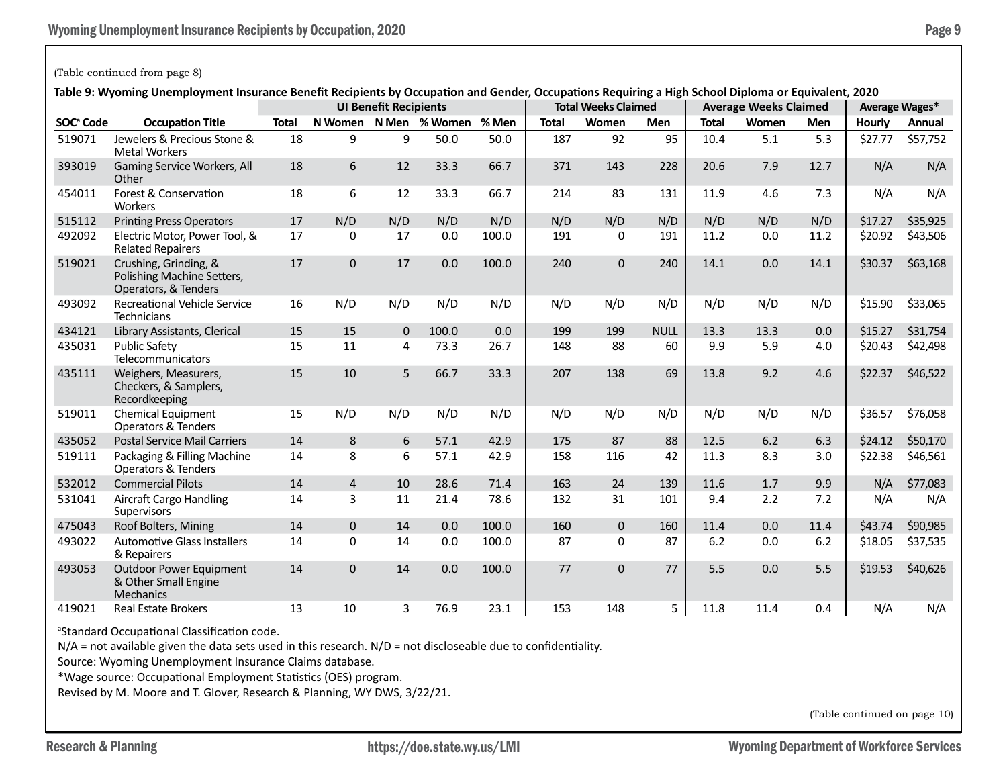#### (Table continued from page 8)

**Table 9: Wyoming Unemployment Insurance Benefit Recipients by Occupation and Gender, Occupations Requiring a High School Diploma or Equivalent, 2020**

|                       | lable 5. Wyoming Onemployment insulance benent Recipients by Occupation and Genuel, Occupations Requiring a righ School Diploma or Equivalent, 2020 |              |                | <b>UI Benefit Recipients</b> |                       |       |              | <b>Total Weeks Claimed</b> |             |              | <b>Average Weeks Claimed</b> |      |         | <b>Average Wages*</b> |
|-----------------------|-----------------------------------------------------------------------------------------------------------------------------------------------------|--------------|----------------|------------------------------|-----------------------|-------|--------------|----------------------------|-------------|--------------|------------------------------|------|---------|-----------------------|
| SOC <sup>ª</sup> Code | <b>Occupation Title</b>                                                                                                                             | <b>Total</b> |                |                              | N Women N Men % Women | % Men | <b>Total</b> | Women                      | <b>Men</b>  | <b>Total</b> | Women                        | Men  | Hourly  | Annual                |
| 519071                | Jewelers & Precious Stone &<br><b>Metal Workers</b>                                                                                                 | 18           | 9              | 9                            | 50.0                  | 50.0  | 187          | 92                         | 95          | 10.4         | 5.1                          | 5.3  | \$27.77 | \$57,752              |
| 393019                | Gaming Service Workers, All<br>Other                                                                                                                | 18           | 6              | 12                           | 33.3                  | 66.7  | 371          | 143                        | 228         | 20.6         | 7.9                          | 12.7 | N/A     | N/A                   |
| 454011                | Forest & Conservation<br>Workers                                                                                                                    | 18           | 6              | 12                           | 33.3                  | 66.7  | 214          | 83                         | 131         | 11.9         | 4.6                          | 7.3  | N/A     | N/A                   |
| 515112                | <b>Printing Press Operators</b>                                                                                                                     | 17           | N/D            | N/D                          | N/D                   | N/D   | N/D          | N/D                        | N/D         | N/D          | N/D                          | N/D  | \$17.27 | \$35,925              |
| 492092                | Electric Motor, Power Tool, &<br><b>Related Repairers</b>                                                                                           | 17           | $\Omega$       | 17                           | 0.0                   | 100.0 | 191          | $\Omega$                   | 191         | 11.2         | 0.0                          | 11.2 | \$20.92 | \$43,506              |
| 519021                | Crushing, Grinding, &<br>Polishing Machine Setters,<br>Operators, & Tenders                                                                         | 17           | $\mathbf{0}$   | 17                           | 0.0                   | 100.0 | 240          | 0                          | 240         | 14.1         | 0.0                          | 14.1 | \$30.37 | \$63,168              |
| 493092                | <b>Recreational Vehicle Service</b><br><b>Technicians</b>                                                                                           | 16           | N/D            | N/D                          | N/D                   | N/D   | N/D          | N/D                        | N/D         | N/D          | N/D                          | N/D  | \$15.90 | \$33,065              |
| 434121                | Library Assistants, Clerical                                                                                                                        | 15           | 15             | $\mathbf{0}$                 | 100.0                 | 0.0   | 199          | 199                        | <b>NULL</b> | 13.3         | 13.3                         | 0.0  | \$15.27 | \$31,754              |
| 435031                | <b>Public Safety</b><br>Telecommunicators                                                                                                           | 15           | 11             | 4                            | 73.3                  | 26.7  | 148          | 88                         | 60          | 9.9          | 5.9                          | 4.0  | \$20.43 | \$42,498              |
| 435111                | Weighers, Measurers,<br>Checkers, & Samplers,<br>Recordkeeping                                                                                      | 15           | 10             | 5                            | 66.7                  | 33.3  | 207          | 138                        | 69          | 13.8         | 9.2                          | 4.6  | \$22.37 | \$46,522              |
| 519011                | <b>Chemical Equipment</b><br>Operators & Tenders                                                                                                    | 15           | N/D            | N/D                          | N/D                   | N/D   | N/D          | N/D                        | N/D         | N/D          | N/D                          | N/D  | \$36.57 | \$76,058              |
| 435052                | <b>Postal Service Mail Carriers</b>                                                                                                                 | 14           | 8              | 6                            | 57.1                  | 42.9  | 175          | 87                         | 88          | 12.5         | 6.2                          | 6.3  | \$24.12 | \$50,170              |
| 519111                | Packaging & Filling Machine<br>Operators & Tenders                                                                                                  | 14           | 8              | 6                            | 57.1                  | 42.9  | 158          | 116                        | 42          | 11.3         | 8.3                          | 3.0  | \$22.38 | \$46,561              |
| 532012                | <b>Commercial Pilots</b>                                                                                                                            | 14           | $\overline{4}$ | 10                           | 28.6                  | 71.4  | 163          | 24                         | 139         | 11.6         | 1.7                          | 9.9  | N/A     | \$77,083              |
| 531041                | <b>Aircraft Cargo Handling</b><br>Supervisors                                                                                                       | 14           | 3              | 11                           | 21.4                  | 78.6  | 132          | 31                         | 101         | 9.4          | 2.2                          | 7.2  | N/A     | N/A                   |
| 475043                | Roof Bolters, Mining                                                                                                                                | 14           | $\Omega$       | 14                           | 0.0                   | 100.0 | 160          | $\Omega$                   | 160         | 11.4         | 0.0                          | 11.4 | \$43.74 | \$90,985              |
| 493022                | <b>Automotive Glass Installers</b><br>& Repairers                                                                                                   | 14           | $\Omega$       | 14                           | 0.0                   | 100.0 | 87           | $\Omega$                   | 87          | 6.2          | 0.0                          | 6.2  | \$18.05 | \$37,535              |
| 493053                | <b>Outdoor Power Equipment</b><br>& Other Small Engine<br>Mechanics                                                                                 | 14           | $\mathbf{0}$   | 14                           | 0.0                   | 100.0 | 77           | 0                          | 77          | 5.5          | 0.0                          | 5.5  | \$19.53 | \$40,626              |
| 419021                | <b>Real Estate Brokers</b>                                                                                                                          | 13           | 10             | 3                            | 76.9                  | 23.1  | 153          | 148                        | 5           | 11.8         | 11.4                         | 0.4  | N/A     | N/A                   |

a Standard Occupational Classification code.

N/A = not available given the data sets used in this research. N/D = not discloseable due to confidentiality.

Source: Wyoming Unemployment Insurance Claims database.

\*Wage source: Occupational Employment Statistics (OES) program.

Revised by M. Moore and T. Glover, Research & Planning, WY DWS, 3/22/21.

(Table continued on page 10)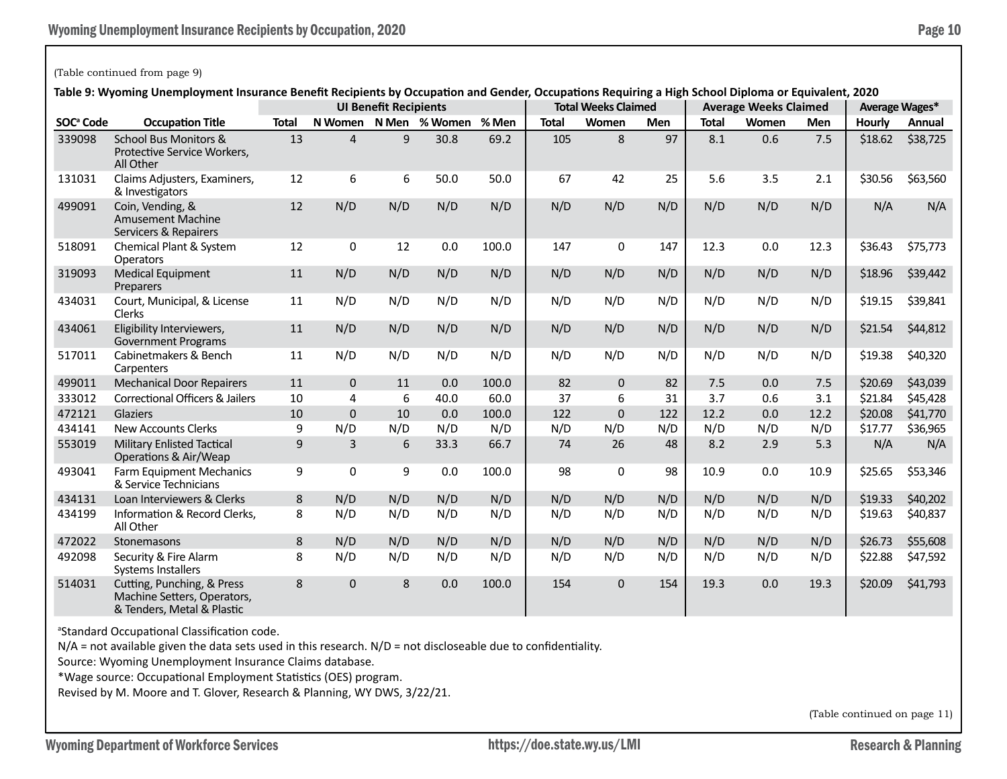#### (Table continued from page 9)

# **Table 9: Wyoming Unemployment Insurance Benefit Recipients by Occupation and Gender, Occupations Requiring a High School Diploma or Equivalent, 2020**

|                       | iable 5. Wyoming Onemployment insulance benent Recipients by Occupation and Gender, Occupations Requiring a righ School Diploma or Equivalent, 2020 |              |                | <b>UI Benefit Recipients</b> |                     |       |              | <b>Total Weeks Claimed</b> |            |              | <b>Average Weeks Claimed</b> |            |         | <b>Average Wages*</b> |
|-----------------------|-----------------------------------------------------------------------------------------------------------------------------------------------------|--------------|----------------|------------------------------|---------------------|-------|--------------|----------------------------|------------|--------------|------------------------------|------------|---------|-----------------------|
| SOC <sup>ª</sup> Code | <b>Occupation Title</b>                                                                                                                             | <b>Total</b> | N Women        |                              | N Men % Women % Men |       | <b>Total</b> | Women                      | <b>Men</b> | <b>Total</b> | Women                        | <b>Men</b> | Hourly  | Annual                |
| 339098                | School Bus Monitors &<br>Protective Service Workers,<br>All Other                                                                                   | 13           | $\overline{4}$ | 9                            | 30.8                | 69.2  | 105          | 8                          | 97         | 8.1          | 0.6                          | 7.5        | \$18.62 | \$38,725              |
| 131031                | Claims Adjusters, Examiners,<br>& Investigators                                                                                                     | 12           | 6              | 6                            | 50.0                | 50.0  | 67           | 42                         | 25         | 5.6          | 3.5                          | 2.1        | \$30.56 | \$63,560              |
| 499091                | Coin, Vending, &<br><b>Amusement Machine</b><br>Servicers & Repairers                                                                               | 12           | N/D            | N/D                          | N/D                 | N/D   | N/D          | N/D                        | N/D        | N/D          | N/D                          | N/D        | N/A     | N/A                   |
| 518091                | Chemical Plant & System<br><b>Operators</b>                                                                                                         | 12           | 0              | 12                           | 0.0                 | 100.0 | 147          | 0                          | 147        | 12.3         | 0.0                          | 12.3       | \$36.43 | \$75,773              |
| 319093                | <b>Medical Equipment</b><br>Preparers                                                                                                               | 11           | N/D            | N/D                          | N/D                 | N/D   | N/D          | N/D                        | N/D        | N/D          | N/D                          | N/D        | \$18.96 | \$39,442              |
| 434031                | Court, Municipal, & License<br>Clerks                                                                                                               | 11           | N/D            | N/D                          | N/D                 | N/D   | N/D          | N/D                        | N/D        | N/D          | N/D                          | N/D        | \$19.15 | \$39,841              |
| 434061                | Eligibility Interviewers,<br><b>Government Programs</b>                                                                                             | 11           | N/D            | N/D                          | N/D                 | N/D   | N/D          | N/D                        | N/D        | N/D          | N/D                          | N/D        | \$21.54 | \$44,812              |
| 517011                | Cabinetmakers & Bench<br>Carpenters                                                                                                                 | 11           | N/D            | N/D                          | N/D                 | N/D   | N/D          | N/D                        | N/D        | N/D          | N/D                          | N/D        | \$19.38 | \$40,320              |
| 499011                | <b>Mechanical Door Repairers</b>                                                                                                                    | 11           | $\mathbf{0}$   | 11                           | 0.0                 | 100.0 | 82           | $\mathbf{0}$               | 82         | 7.5          | 0.0                          | 7.5        | \$20.69 | \$43,039              |
| 333012                | <b>Correctional Officers &amp; Jailers</b>                                                                                                          | 10           | 4              | 6                            | 40.0                | 60.0  | 37           | 6                          | 31         | 3.7          | 0.6                          | 3.1        | \$21.84 | \$45,428              |
| 472121                | <b>Glaziers</b>                                                                                                                                     | 10           | $\overline{0}$ | 10                           | 0.0                 | 100.0 | 122          | $\overline{0}$             | 122        | 12.2         | 0.0                          | 12.2       | \$20.08 | \$41,770              |
| 434141                | <b>New Accounts Clerks</b>                                                                                                                          | 9            | N/D            | N/D                          | N/D                 | N/D   | N/D          | N/D                        | N/D        | N/D          | N/D                          | N/D        | \$17.77 | \$36,965              |
| 553019                | <b>Military Enlisted Tactical</b><br>Operations & Air/Weap                                                                                          | 9            | $\overline{3}$ | 6                            | 33.3                | 66.7  | 74           | 26                         | 48         | 8.2          | 2.9                          | 5.3        | N/A     | N/A                   |
| 493041                | Farm Equipment Mechanics<br>& Service Technicians                                                                                                   | 9            | 0              | 9                            | 0.0                 | 100.0 | 98           | 0                          | 98         | 10.9         | 0.0                          | 10.9       | \$25.65 | \$53,346              |
| 434131                | Loan Interviewers & Clerks                                                                                                                          | $\,8\,$      | N/D            | N/D                          | N/D                 | N/D   | N/D          | N/D                        | N/D        | N/D          | N/D                          | N/D        | \$19.33 | \$40,202              |
| 434199                | Information & Record Clerks,<br>All Other                                                                                                           | 8            | N/D            | N/D                          | N/D                 | N/D   | N/D          | N/D                        | N/D        | N/D          | N/D                          | N/D        | \$19.63 | \$40,837              |
| 472022                | Stonemasons                                                                                                                                         | 8            | N/D            | N/D                          | N/D                 | N/D   | N/D          | N/D                        | N/D        | N/D          | N/D                          | N/D        | \$26.73 | \$55,608              |
| 492098                | Security & Fire Alarm<br><b>Systems Installers</b>                                                                                                  | 8            | N/D            | N/D                          | N/D                 | N/D   | N/D          | N/D                        | N/D        | N/D          | N/D                          | N/D        | \$22.88 | \$47,592              |
| 514031                | Cutting, Punching, & Press<br>Machine Setters, Operators,<br>& Tenders, Metal & Plastic                                                             | 8            | 0              | 8                            | 0.0                 | 100.0 | 154          | $\mathbf{0}$               | 154        | 19.3         | 0.0                          | 19.3       | \$20.09 | \$41,793              |

a Standard Occupational Classification code.

N/A = not available given the data sets used in this research. N/D = not discloseable due to confidentiality.

Source: Wyoming Unemployment Insurance Claims database.

\*Wage source: Occupational Employment Statistics (OES) program.

Revised by M. Moore and T. Glover, Research & Planning, WY DWS, 3/22/21.

(Table continued on page 11)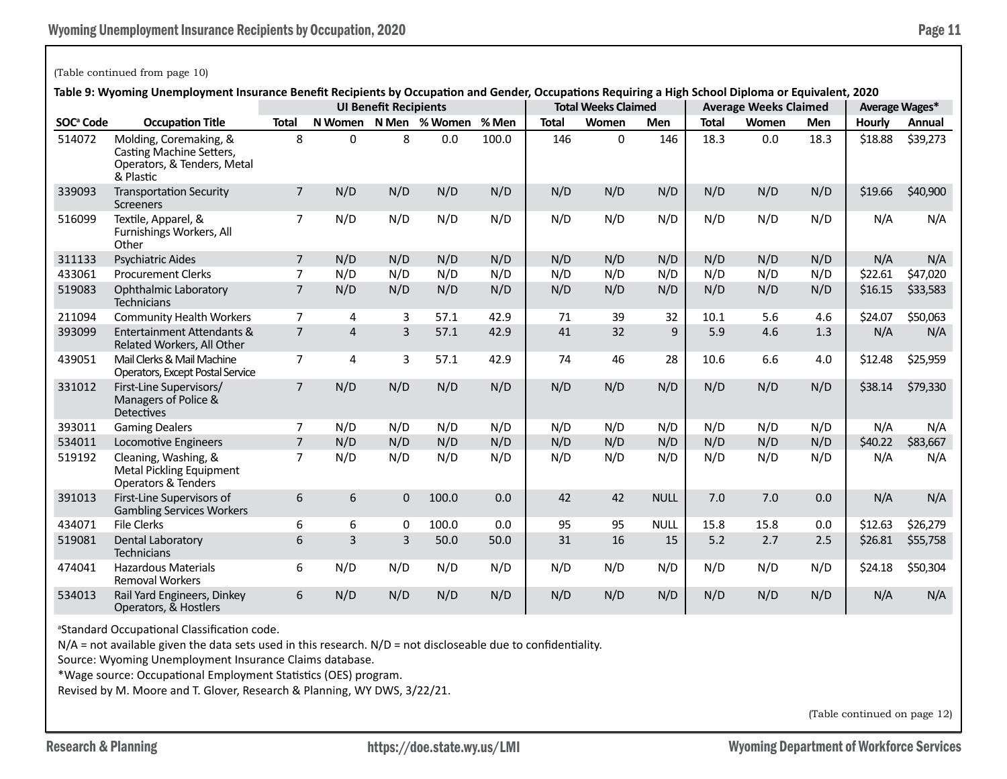# (Table continued from page 10)

**Table 9: Wyoming Unemployment Insurance Benefit Recipients by Occupation and Gender, Occupations Requiring a High School Diploma or Equivalent, 2020**

|                       | iable 3. Wyoming Onemployment insurance benent Recipients by Occupation and Genuel, Occupations Requiring a mgh School Diploma or Equivalent, 2020 |                |                | <b>UI Benefit Recipients</b> |               |       |              | <b>Total Weeks Claimed</b> |              |              | <b>Average Weeks Claimed</b> |            |         | Average Wages* |
|-----------------------|----------------------------------------------------------------------------------------------------------------------------------------------------|----------------|----------------|------------------------------|---------------|-------|--------------|----------------------------|--------------|--------------|------------------------------|------------|---------|----------------|
| SOC <sup>ª</sup> Code | <b>Occupation Title</b>                                                                                                                            | <b>Total</b>   | N Women        |                              | N Men % Women | % Men | <b>Total</b> | Women                      | <b>Men</b>   | <b>Total</b> | Women                        | <b>Men</b> | Hourly  | Annual         |
| 514072                | Molding, Coremaking, &<br>Casting Machine Setters,<br>Operators, & Tenders, Metal<br>& Plastic                                                     | 8              | 0              | 8                            | 0.0           | 100.0 | 146          | $\mathbf{0}$               | 146          | 18.3         | 0.0                          | 18.3       | \$18.88 | \$39,273       |
| 339093                | <b>Transportation Security</b><br><b>Screeners</b>                                                                                                 | $\overline{7}$ | N/D            | N/D                          | N/D           | N/D   | N/D          | N/D                        | N/D          | N/D          | N/D                          | N/D        | \$19.66 | \$40,900       |
| 516099                | Textile, Apparel, &<br>Furnishings Workers, All<br>Other                                                                                           | 7              | N/D            | N/D                          | N/D           | N/D   | N/D          | N/D                        | N/D          | N/D          | N/D                          | N/D        | N/A     | N/A            |
| 311133                | <b>Psychiatric Aides</b>                                                                                                                           | $\overline{7}$ | N/D            | N/D                          | N/D           | N/D   | N/D          | N/D                        | N/D          | N/D          | N/D                          | N/D        | N/A     | N/A            |
| 433061                | <b>Procurement Clerks</b>                                                                                                                          | 7              | N/D            | N/D                          | N/D           | N/D   | N/D          | N/D                        | N/D          | N/D          | N/D                          | N/D        | \$22.61 | \$47,020       |
| 519083                | <b>Ophthalmic Laboratory</b><br><b>Technicians</b>                                                                                                 | $\overline{7}$ | N/D            | N/D                          | N/D           | N/D   | N/D          | N/D                        | N/D          | N/D          | N/D                          | N/D        | \$16.15 | \$33,583       |
| 211094                | <b>Community Health Workers</b>                                                                                                                    | $\overline{7}$ | 4              | 3                            | 57.1          | 42.9  | 71           | 39                         | 32           | 10.1         | 5.6                          | 4.6        | \$24.07 | \$50,063       |
| 393099                | Entertainment Attendants &<br>Related Workers, All Other                                                                                           | $\overline{7}$ | $\overline{4}$ | $\overline{3}$               | 57.1          | 42.9  | 41           | 32                         | $\mathsf{q}$ | 5.9          | 4.6                          | 1.3        | N/A     | N/A            |
| 439051                | Mail Clerks & Mail Machine<br>Operators, Except Postal Service                                                                                     | 7              | 4              | 3                            | 57.1          | 42.9  | 74           | 46                         | 28           | 10.6         | 6.6                          | 4.0        | \$12.48 | \$25,959       |
| 331012                | First-Line Supervisors/<br>Managers of Police &<br><b>Detectives</b>                                                                               | $\overline{7}$ | N/D            | N/D                          | N/D           | N/D   | N/D          | N/D                        | N/D          | N/D          | N/D                          | N/D        | \$38.14 | \$79,330       |
| 393011                | <b>Gaming Dealers</b>                                                                                                                              | $\overline{7}$ | N/D            | N/D                          | N/D           | N/D   | N/D          | N/D                        | N/D          | N/D          | N/D                          | N/D        | N/A     | N/A            |
| 534011                | Locomotive Engineers                                                                                                                               | $\overline{7}$ | N/D            | N/D                          | N/D           | N/D   | N/D          | N/D                        | N/D          | N/D          | N/D                          | N/D        | \$40.22 | \$83,667       |
| 519192                | Cleaning, Washing, &<br>Metal Pickling Equipment<br><b>Operators &amp; Tenders</b>                                                                 | $\overline{7}$ | N/D            | N/D                          | N/D           | N/D   | N/D          | N/D                        | N/D          | N/D          | N/D                          | N/D        | N/A     | N/A            |
| 391013                | First-Line Supervisors of<br><b>Gambling Services Workers</b>                                                                                      | 6              | 6              | $\mathbf 0$                  | 100.0         | 0.0   | 42           | 42                         | <b>NULL</b>  | 7.0          | 7.0                          | 0.0        | N/A     | N/A            |
| 434071                | <b>File Clerks</b>                                                                                                                                 | 6              | 6              | 0                            | 100.0         | 0.0   | 95           | 95                         | <b>NULL</b>  | 15.8         | 15.8                         | 0.0        | \$12.63 | \$26,279       |
| 519081                | Dental Laboratory<br><b>Technicians</b>                                                                                                            | 6              | 3              | 3                            | 50.0          | 50.0  | 31           | 16                         | 15           | 5.2          | 2.7                          | 2.5        | \$26.81 | \$55,758       |
| 474041                | <b>Hazardous Materials</b><br><b>Removal Workers</b>                                                                                               | 6              | N/D            | N/D                          | N/D           | N/D   | N/D          | N/D                        | N/D          | N/D          | N/D                          | N/D        | \$24.18 | \$50,304       |
| 534013                | Rail Yard Engineers, Dinkey<br>Operators, & Hostlers                                                                                               | 6              | N/D            | N/D                          | N/D           | N/D   | N/D          | N/D                        | N/D          | N/D          | N/D                          | N/D        | N/A     | N/A            |

a Standard Occupational Classification code.

N/A = not available given the data sets used in this research. N/D = not discloseable due to confidentiality.

Source: Wyoming Unemployment Insurance Claims database.

\*Wage source: Occupational Employment Statistics (OES) program.

Revised by M. Moore and T. Glover, Research & Planning, WY DWS, 3/22/21.

(Table continued on page 12)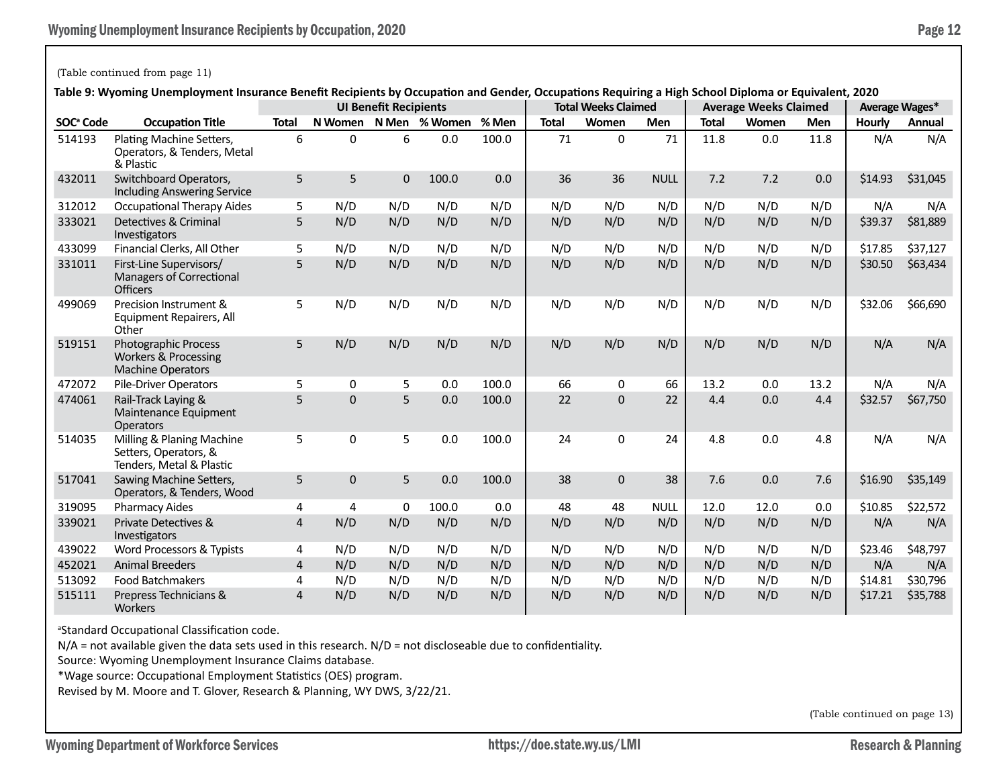#### (Table continued from page 11)

**Table 9: Wyoming Unemployment Insurance Benefit Recipients by Occupation and Gender, Occupations Requiring a High School Diploma or Equivalent, 2020**

|                       | lable 3. Wyoming Onemployment insurance benent Recipients by Occupation and Genuel, Occupations Requiring a mgh School Diploma or Equivalent, 2020 |                |              | <b>UI Benefit Recipients</b> |               |       |              | <b>Total Weeks Claimed</b> |             |              | <b>Average Weeks Claimed</b> |            |         | Average Wages* |
|-----------------------|----------------------------------------------------------------------------------------------------------------------------------------------------|----------------|--------------|------------------------------|---------------|-------|--------------|----------------------------|-------------|--------------|------------------------------|------------|---------|----------------|
| SOC <sup>ª</sup> Code | <b>Occupation Title</b>                                                                                                                            | <b>Total</b>   | N Women      |                              | N Men % Women | % Men | <b>Total</b> | Women                      | <b>Men</b>  | <b>Total</b> | Women                        | <b>Men</b> | Hourly  | Annual         |
| 514193                | Plating Machine Setters,<br>Operators, & Tenders, Metal<br>& Plastic                                                                               | 6              | $\Omega$     | 6                            | 0.0           | 100.0 | 71           | $\Omega$                   | 71          | 11.8         | 0.0                          | 11.8       | N/A     | N/A            |
| 432011                | Switchboard Operators,<br><b>Including Answering Service</b>                                                                                       | 5              | 5            | $\mathbf 0$                  | 100.0         | 0.0   | 36           | 36                         | <b>NULL</b> | 7.2          | 7.2                          | 0.0        | \$14.93 | \$31,045       |
| 312012                | <b>Occupational Therapy Aides</b>                                                                                                                  | 5              | N/D          | N/D                          | N/D           | N/D   | N/D          | N/D                        | N/D         | N/D          | N/D                          | N/D        | N/A     | N/A            |
| 333021                | Detectives & Criminal<br>Investigators                                                                                                             | 5              | N/D          | N/D                          | N/D           | N/D   | N/D          | N/D                        | N/D         | N/D          | N/D                          | N/D        | \$39.37 | \$81,889       |
| 433099                | Financial Clerks, All Other                                                                                                                        | 5              | N/D          | N/D                          | N/D           | N/D   | N/D          | N/D                        | N/D         | N/D          | N/D                          | N/D        | \$17.85 | \$37,127       |
| 331011                | First-Line Supervisors/<br>Managers of Correctional<br><b>Officers</b>                                                                             | 5              | N/D          | N/D                          | N/D           | N/D   | N/D          | N/D                        | N/D         | N/D          | N/D                          | N/D        | \$30.50 | \$63,434       |
| 499069                | Precision Instrument &<br>Equipment Repairers, All<br>Other                                                                                        | 5              | N/D          | N/D                          | N/D           | N/D   | N/D          | N/D                        | N/D         | N/D          | N/D                          | N/D        | \$32.06 | \$66,690       |
| 519151                | <b>Photographic Process</b><br><b>Workers &amp; Processing</b><br><b>Machine Operators</b>                                                         | 5              | N/D          | N/D                          | N/D           | N/D   | N/D          | N/D                        | N/D         | N/D          | N/D                          | N/D        | N/A     | N/A            |
| 472072                | <b>Pile-Driver Operators</b>                                                                                                                       | 5              | 0            | 5                            | 0.0           | 100.0 | 66           | 0                          | 66          | 13.2         | 0.0                          | 13.2       | N/A     | N/A            |
| 474061                | Rail-Track Laying &<br>Maintenance Equipment<br><b>Operators</b>                                                                                   | 5              | $\Omega$     | 5                            | 0.0           | 100.0 | 22           | $\Omega$                   | 22          | 4.4          | 0.0                          | 4.4        | \$32.57 | \$67,750       |
| 514035                | Milling & Planing Machine<br>Setters, Operators, &<br>Tenders, Metal & Plastic                                                                     | 5              | 0            | 5                            | 0.0           | 100.0 | 24           | 0                          | 24          | 4.8          | 0.0                          | 4.8        | N/A     | N/A            |
| 517041                | Sawing Machine Setters,<br>Operators, & Tenders, Wood                                                                                              | 5              | $\mathbf{0}$ | 5                            | 0.0           | 100.0 | 38           | $\mathbf{0}$               | 38          | 7.6          | 0.0                          | 7.6        | \$16.90 | \$35,149       |
| 319095                | <b>Pharmacy Aides</b>                                                                                                                              | 4              | 4            | 0                            | 100.0         | 0.0   | 48           | 48                         | <b>NULL</b> | 12.0         | 12.0                         | 0.0        | \$10.85 | \$22,572       |
| 339021                | <b>Private Detectives &amp;</b><br>Investigators                                                                                                   | $\overline{4}$ | N/D          | N/D                          | N/D           | N/D   | N/D          | N/D                        | N/D         | N/D          | N/D                          | N/D        | N/A     | N/A            |
| 439022                | Word Processors & Typists                                                                                                                          | 4              | N/D          | N/D                          | N/D           | N/D   | N/D          | N/D                        | N/D         | N/D          | N/D                          | N/D        | \$23.46 | \$48,797       |
| 452021                | <b>Animal Breeders</b>                                                                                                                             | $\overline{4}$ | N/D          | N/D                          | N/D           | N/D   | N/D          | N/D                        | N/D         | N/D          | N/D                          | N/D        | N/A     | N/A            |
| 513092                | <b>Food Batchmakers</b>                                                                                                                            | 4              | N/D          | N/D                          | N/D           | N/D   | N/D          | N/D                        | N/D         | N/D          | N/D                          | N/D        | \$14.81 | \$30,796       |
| 515111                | Prepress Technicians &<br><b>Workers</b>                                                                                                           | $\overline{4}$ | N/D          | N/D                          | N/D           | N/D   | N/D          | N/D                        | N/D         | N/D          | N/D                          | N/D        | \$17.21 | \$35,788       |

<sup>a</sup>Standard Occupational Classification code.

N/A = not available given the data sets used in this research. N/D = not discloseable due to confidentiality.

Source: Wyoming Unemployment Insurance Claims database.

\*Wage source: Occupational Employment Statistics (OES) program.

Revised by M. Moore and T. Glover, Research & Planning, WY DWS, 3/22/21.

(Table continued on page 13)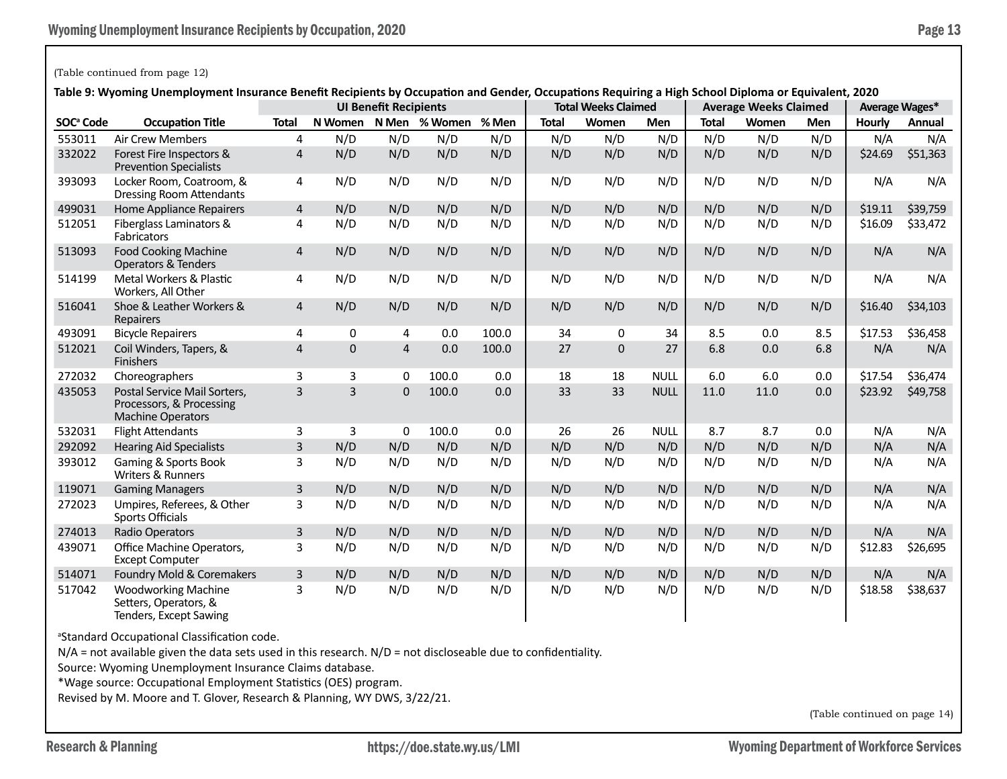## (Table continued from page 12)

**Table 9: Wyoming Unemployment Insurance Benefit Recipients by Occupation and Gender, Occupations Requiring a High School Diploma or Equivalent, 2020**

|                       |                                                                                      | abic 3. Wyoming Unchriptoyment modalice benent neuplents by Occupation and Gender, Occupations neguming a mgh School Diploma or Equivalent, 2020<br><b>UI Benefit Recipients</b> |     |                |                             |       |              | <b>Total Weeks Claimed</b> |             |              | <b>Average Weeks Claimed</b> |            |               | Average Wages* |  |
|-----------------------|--------------------------------------------------------------------------------------|----------------------------------------------------------------------------------------------------------------------------------------------------------------------------------|-----|----------------|-----------------------------|-------|--------------|----------------------------|-------------|--------------|------------------------------|------------|---------------|----------------|--|
| SOC <sup>ª</sup> Code | <b>Occupation Title</b>                                                              | <b>Total</b>                                                                                                                                                                     |     |                | N Women N Men % Women % Men |       | <b>Total</b> | Women                      | <b>Men</b>  | <b>Total</b> | Women                        | <b>Men</b> | <b>Hourly</b> | Annual         |  |
| 553011                | <b>Air Crew Members</b>                                                              | 4                                                                                                                                                                                | N/D | N/D            | N/D                         | N/D   | N/D          | N/D                        | N/D         | N/D          | N/D                          | N/D        | N/A           | N/A            |  |
| 332022                | Forest Fire Inspectors &<br><b>Prevention Specialists</b>                            | $\overline{4}$                                                                                                                                                                   | N/D | N/D            | N/D                         | N/D   | N/D          | N/D                        | N/D         | N/D          | N/D                          | N/D        | \$24.69       | \$51,363       |  |
| 393093                | Locker Room, Coatroom, &<br><b>Dressing Room Attendants</b>                          | 4                                                                                                                                                                                | N/D | N/D            | N/D                         | N/D   | N/D          | N/D                        | N/D         | N/D          | N/D                          | N/D        | N/A           | N/A            |  |
| 499031                | <b>Home Appliance Repairers</b>                                                      | 4                                                                                                                                                                                | N/D | N/D            | N/D                         | N/D   | N/D          | N/D                        | N/D         | N/D          | N/D                          | N/D        | \$19.11       | \$39,759       |  |
| 512051                | Fiberglass Laminators &<br>Fabricators                                               | $\overline{4}$                                                                                                                                                                   | N/D | N/D            | N/D                         | N/D   | N/D          | N/D                        | N/D         | N/D          | N/D                          | N/D        | \$16.09       | \$33,472       |  |
| 513093                | <b>Food Cooking Machine</b><br><b>Operators &amp; Tenders</b>                        | $\overline{4}$                                                                                                                                                                   | N/D | N/D            | N/D                         | N/D   | N/D          | N/D                        | N/D         | N/D          | N/D                          | N/D        | N/A           | N/A            |  |
| 514199                | Metal Workers & Plastic<br>Workers, All Other                                        | 4                                                                                                                                                                                | N/D | N/D            | N/D                         | N/D   | N/D          | N/D                        | N/D         | N/D          | N/D                          | N/D        | N/A           | N/A            |  |
| 516041                | Shoe & Leather Workers &<br>Repairers                                                | $\overline{4}$                                                                                                                                                                   | N/D | N/D            | N/D                         | N/D   | N/D          | N/D                        | N/D         | N/D          | N/D                          | N/D        | \$16.40       | \$34,103       |  |
| 493091                | <b>Bicycle Repairers</b>                                                             | $\overline{4}$                                                                                                                                                                   | 0   | 4              | 0.0                         | 100.0 | 34           | 0                          | 34          | 8.5          | 0.0                          | 8.5        | \$17.53       | \$36,458       |  |
| 512021                | Coil Winders, Tapers, &<br>Finishers                                                 | $\overline{\mathbf{r}}$                                                                                                                                                          | 0   | $\overline{4}$ | 0.0                         | 100.0 | 27           | $\mathbf{0}$               | 27          | 6.8          | 0.0                          | 6.8        | N/A           | N/A            |  |
| 272032                | Choreographers                                                                       | 3                                                                                                                                                                                | 3   | $\Omega$       | 100.0                       | 0.0   | 18           | 18                         | <b>NULL</b> | 6.0          | 6.0                          | 0.0        | \$17.54       | \$36,474       |  |
| 435053                | Postal Service Mail Sorters,<br>Processors, & Processing<br><b>Machine Operators</b> | 3                                                                                                                                                                                | 3   | $\Omega$       | 100.0                       | 0.0   | 33           | 33                         | <b>NULL</b> | 11.0         | 11.0                         | 0.0        | \$23.92       | \$49,758       |  |
| 532031                | <b>Flight Attendants</b>                                                             | 3                                                                                                                                                                                | 3   | $\Omega$       | 100.0                       | 0.0   | 26           | 26                         | <b>NULL</b> | 8.7          | 8.7                          | 0.0        | N/A           | N/A            |  |
| 292092                | <b>Hearing Aid Specialists</b>                                                       | $\overline{3}$                                                                                                                                                                   | N/D | N/D            | N/D                         | N/D   | N/D          | N/D                        | N/D         | N/D          | N/D                          | N/D        | N/A           | N/A            |  |
| 393012                | Gaming & Sports Book<br>Writers & Runners                                            | 3                                                                                                                                                                                | N/D | N/D            | N/D                         | N/D   | N/D          | N/D                        | N/D         | N/D          | N/D                          | N/D        | N/A           | N/A            |  |
| 119071                | <b>Gaming Managers</b>                                                               | $\overline{3}$                                                                                                                                                                   | N/D | N/D            | N/D                         | N/D   | N/D          | N/D                        | N/D         | N/D          | N/D                          | N/D        | N/A           | N/A            |  |
| 272023                | Umpires, Referees, & Other<br>Sports Officials                                       | 3                                                                                                                                                                                | N/D | N/D            | N/D                         | N/D   | N/D          | N/D                        | N/D         | N/D          | N/D                          | N/D        | N/A           | N/A            |  |
| 274013                | Radio Operators                                                                      | $\overline{3}$                                                                                                                                                                   | N/D | N/D            | N/D                         | N/D   | N/D          | N/D                        | N/D         | N/D          | N/D                          | N/D        | N/A           | N/A            |  |
| 439071                | Office Machine Operators,<br><b>Except Computer</b>                                  | 3                                                                                                                                                                                | N/D | N/D            | N/D                         | N/D   | N/D          | N/D                        | N/D         | N/D          | N/D                          | N/D        | \$12.83       | \$26,695       |  |
| 514071                | Foundry Mold & Coremakers                                                            | 3                                                                                                                                                                                | N/D | N/D            | N/D                         | N/D   | N/D          | N/D                        | N/D         | N/D          | N/D                          | N/D        | N/A           | N/A            |  |
| 517042                | <b>Woodworking Machine</b><br>Setters, Operators, &<br>Tenders, Except Sawing        | 3                                                                                                                                                                                | N/D | N/D            | N/D                         | N/D   | N/D          | N/D                        | N/D         | N/D          | N/D                          | N/D        | \$18.58       | \$38,637       |  |

a Standard Occupational Classification code.

 $N/A$  = not available given the data sets used in this research.  $N/D$  = not discloseable due to confidentiality.

Source: Wyoming Unemployment Insurance Claims database.

\*Wage source: Occupational Employment Statistics (OES) program.

Revised by M. Moore and T. Glover, Research & Planning, WY DWS, 3/22/21.

(Table continued on page 14)